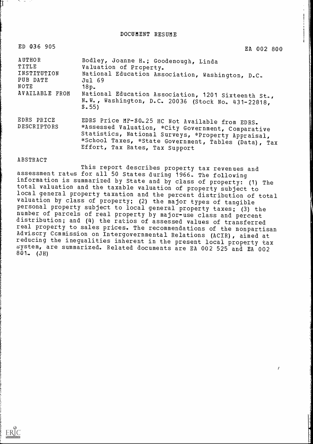DOCUMENT RESUME

| ED 036 905                                                           | EA 002 800                                                                                                                                                                                                                                                  |
|----------------------------------------------------------------------|-------------------------------------------------------------------------------------------------------------------------------------------------------------------------------------------------------------------------------------------------------------|
| AUTHOR<br>TITLE<br>INSTITUTION<br>PUB DATE<br>NOTE<br>AVAILABLE FROM | Bodley, Joanne H.; Goodenough, Linda<br>Valuation of Property.<br>National Education Association, Washington, D.C.<br>Jul 69<br>18p.<br>National Education Association, 1201 Sixteenth St.,<br>N.W., Washington, D.C. 20036 (Stock No. 431-22818,<br>\$.55) |
| EDRS PRICE<br>DESCRIPTORS                                            | EDRS Price MF-\$0.25 HC Not Available from EDRS.<br>*Assessed Valuation, *City Government, Comparative<br>Statistics, National Surveys, *Property Appraisal,<br>*School Taxes, *State Government, Tables (Data), Tax<br>Effort, Tax Rates, Tax Support      |

# ABSTRACT

ERIC

This report describes property tax revenues and assessment rates for all 50 States during 1966. The following<br>information is summarized by State and by class of property: (1) The total valuation and the taxable valuation of property subject to local general property taxation and the percent distribution of total valuation by class of property; (2) the major types of tangible personal property subject to local general property taxes; (3) the number of parcels of real property by major-use class and percent distribution; and (4) the ratios of assessed values of transferred real property to sales prices. The recommendations of the nonpartisan Adviscry Ccmmission on Intergovernmental Relations (ACIR), aimed at reducing the inequalities inherent in the present local property tax system, are summarized. Related documents are EA 002 525 and EA 002 801. (JH)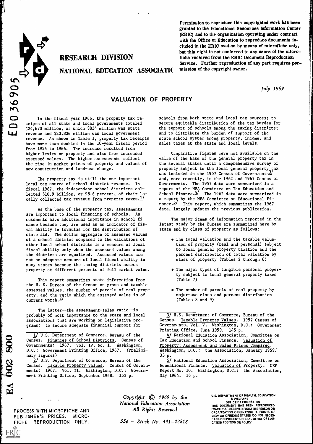

# NATIONAL EDUCATION ASSOCIATIC mission of the copyright owner.

Permission to reproduce this copyrighted work has been granted to the Educational Resources Information Center (ERIC) and to the organization operating under contract with the Office of Education to reproduce documents included in the ERIC system by means of microfiche only, but this right is not conferred to any users of the micro-RESEARCH DIVISION fiche received from the ERIC Document Reproduction Service. Further reproduction of any part requires per-

July 1969

# VALUATION OF PROPERTY

VALUATION<br>
O In the fiscal year 1966, the property tax receipts of all state and local governments totaled<br>
C24.670 million, of which \$834 million was state ceipts of all state and local governments totaled ;24,670 million, of which \$834 million was state revenue and \$23,836 million was local government revenue. As shown in Table 1, property tax receipts have more than doubled in the 10-year fiscal period from 1956 to 1966. The increase resulted from higher levies on property and also from increased assessed values. The higher assessments reflect the rise in market prices of property and values of new construction and land-use change.

> The property tax is still the one important local tax source of school district revenue. In fiscal 1967, the independent school districts collected \$10.9 billion, or 98.6 percent, of their 10cally collected tax revenue from property taxes. $\frac{1}{2}$  a report nance. $\frac{5}{2}$

As the base of the property tax, assessments are important to local financing of schools. Assessments have additional importance in school finance because they are used as an indicator of fiscal ability in formulas for the distribution of state aid. The dollar aggregate of assessed values of a school district compared to the valuations of other local school districts is a measure of local fiscal ability only when the assessed values among the districts are equalized. Assessed values are not an adequate measure of local fiscal ability in many states because the taxing districts assess property at different percents of full market value.

This report summarizes state information from the U. S. Bureau of the Census on gross and taxable assessed values, the number of parcels of real property, and the ratio which the assessed value is of current worth. $4/$ 

The latter--the assessment-sales ratio--is probably of most importance to the state and local associations that are working on legislative programs: to secure adequate financial support for

schools from both state and local tax sources; to secure equitable distribution of the tax burden for the support of schools among the taxing districts; and to distribute the burden of support of the state school system among property, income, and sales taxes at the state and local levels.

Comparative figures were not available on the value of the base of the general property tax in the several states until a comprehensive survey of property subject to the local general property tax property subject to the local general property tax<br>was included in the 1957 Census of Governments<del>3</del> and, more recently, in the 1962 and 1967 Census of Governments. The 1957 data were summarized in a report of the NEA Committee on Tax Education and<br>School Finance.<sup>4</sup> The 1962 data were summarized The 1962 data were summarized in a report by the NEA Committee on Educational Fi-This report, which summarizes the 1967 data, largely updates the previous publication.

The major items of information reported in the latest study by the Bureau are summarized here by state and by class of property as follows:

- The total valuation and the taxable valuation of property (real and personal) subject to local general property taxation and the percent distribution of total valuation by class of property (Tables 2 through 6)
- The major types of tangible personal property subject to local general property taxes (Table 7)
- The number of parcels of real property by major-use class and percent distribution (Tables 8 and 9)

PROCESS WITH MICROFICHE AND PUBLISHER'S PRICES. MICRO-FICHE REPRODUCTION ONLY.

4

6

ERIC

Copyright © 1969 by the National Education Association All Rights Reserved

 $55d - Stock No. 431 - 22818$ 

U.S. DEPARTMENT OF HEALTH. EDUCATION & WELFARE OFFICE OF EDUCATION

THIS DOCUMENT HAS BEEN REPRODUCED EXACTLY AS RECEIVED FROM THE PERSON OR ORGANIZATION ORIGINATING IT. POINTS OF VIEW OR OPINIONS STATED DO NOT NECES. SARILY REPRESENT OFFICIAL OFFICE OF EDU. CATION POSITION OR POLICY

<sup>1/</sup> U.S. Department of Commerce, Bureau of the Census. Finances of School Districts. Census of Governments: 1967. Vol. IV, No. 1. Washington, D.C.: Government Printing Office, 1967. (Preliminary figures)

<sup>2/</sup> U.S. Department of Commerce, Bureau of the Census. Taxable Property Values. Census of Governments: 1967. Vol. II. Washington, D.C.: Government Printing Office, September 1968. 163 p.

<sup>3/</sup> U.S. Department of Commerce, Bureau of the Census. Taxable Property Values. 1957 Census of Governments, Vol. V. Washington, D.C.: Government Printing Office, June 1959. 145 p.

<sup>4/</sup> National Education Association, Committee on Tax Education and School Finance. Valuation of Property: Assessment and Sales Prices Compared. Washington, D.C.: the Association, January 1959. 33 p.

<sup>5/</sup> National Education Association, Committee on Educational Finance. Valuation of Property. CEF Report No. 10. Washington, D.C.: the Association, May 1964. 16 p.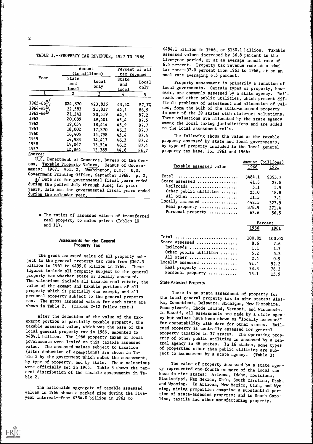# TABLE 1.--PROPERTY TAX REVENUES, 1957 TO 1966

|                                                                                                                           |                                                                                          | Amount<br>(in millions)                                                                  | Percent of all<br>tax revenue                                         |                                                                       |  |
|---------------------------------------------------------------------------------------------------------------------------|------------------------------------------------------------------------------------------|------------------------------------------------------------------------------------------|-----------------------------------------------------------------------|-----------------------------------------------------------------------|--|
| Year                                                                                                                      | State<br>and<br>local                                                                    | Local<br>only                                                                            | State<br>and<br>local                                                 | Local<br>only                                                         |  |
| 1                                                                                                                         | $\mathbf{2}^{\prime}$                                                                    | 3                                                                                        | 4                                                                     | 5 <sub>1</sub>                                                        |  |
| $1965 - 66^2$<br>$1964 - 65^{\frac{a}{2}}$<br>$1963 - 64^{\underline{a}}$<br>1963<br>1962<br>1961<br>1960<br>1959<br>1958 | \$24,570<br>22,583<br>21,241<br>20,089<br>19,054<br>18,002<br>16,405<br>14,983<br>14,047 | \$23,836<br>21,817<br>20,519<br>19,401<br>18,414<br>17,370<br>15,798<br>14,417<br>13,514 | 43.5%<br>44.1<br>44.5<br>45.4<br>45.9<br>46.3<br>45.4<br>46.3<br>46.2 | 87.17<br>86.9<br>87.2<br>87.5<br>87.7<br>87.7<br>87.4<br>87.2<br>87.4 |  |
| 1957<br>Source:                                                                                                           | 12,864                                                                                   | 12,385                                                                                   | 44.6                                                                  | 86,7                                                                  |  |

U.S. Department of Commerce, Bureau of the Census. Taxable Property Values. Census of Governments: 1967. Vol. 2. Washington, D.C.: U.S. Government Printing Office, September 1968. p. 2.

a/ Data are for governmental fiscal years ended during the period July through June; for prior years, data are for governmental fiscal years ended during the calendar year.

The ratios of assessed values of transferred real property to sales prices (Tables 10 and 11).

# Assessments for the General Property Tax

The gross assessed value of all property subject to the general property tax rose from \$367.3 billion in 1961 to \$499.0 billion in 1966. These figures include all property subject to the general property tax whether state or locally assessed. The valuations include all taxable real estate, the value of the exempt and taxable portions of all property which is partially tax exempt, and all personal property subject to the general property tax. The gross assessed values for each state are shown in Table 2. (Tables 2-12 follow text.)

After the deduction of the value of the taxexempt portion of partially taxable property, the taxable assessed value, which was the base of the local general property tax in 1966, amounted to \$484.1 billion. The 1966 property taxes of local governments were levied on this taxable assessed value. The assessed values subject to taxation (after deduction of exemptions) are shown in Table 3 by the government which makes the assessment, by type of property, and by state. These valuations were officially set in 1966. Table 3 shows the percent distribution of the taxable assessments in Table 2.

The nationwide aggregate of taxable assessed values in 1966 shows a marked rise during the fiveyear interval--from \$354.0 billion in 1961 to

Percent of all lar rate--37.0 percent from 1961 to 1966, at an antax revenue nual rate averaging 6.5 percent. \$484.1 billion in 1966, or \$130.1 billion. Taxable assessed values increased by 36.8 percent in the five-year period, or at an average annual rate of 6.5 percent. Property tax revenue rose at a simi-

> only local governments. Certain types of property, how-Property assessment is primarily a function of ever, are commonly assessed by a state agency. Railroads and other public utilities, which present difficult problems of assessment and allocation of values, form the bulk of the state-assessed property in most of the 39 states with state-set valuations. These valuations are allocated by the state agency among the local taxing jurisdictions and are added to the local assessment rolls.

> > The following shows the value of the taxable property assessed by state and local governments, by type of property included in the local general property tax base, for 1961 and 1966:

|                                    | Amount (billions) |                 |  |
|------------------------------------|-------------------|-----------------|--|
| Taxable assessed value             | 1966              | 1961            |  |
| $Total$                            | \$484.1           | \$355.7         |  |
| State assessed                     | 41.6              | 27.8            |  |
| Railroads                          | 5.1               | 5.9             |  |
| Other public utilities             | 25.0              | 18.8            |  |
| All other                          | 11.5              | 3.1             |  |
| Locally assessed                   | 442.5             | 327.9           |  |
| Real property                      | 378.9             | 271.4           |  |
| Personal property  63.6            |                   | 56.5            |  |
|                                    |                   |                 |  |
|                                    | 1966              | Percent<br>1961 |  |
| Total                              | 100.0%            |                 |  |
| State assessed                     | 8.6               | 100.0%<br>7.6   |  |
| Railroads                          | 1.1               | 1.7             |  |
| Other public utilities             | 5.2               | 5.3             |  |
| All other                          | 2.4               | 0.9             |  |
| Locally assessed                   | 91.4              | 92.2            |  |
| Real property<br>Personal property | 78.3<br>13.1      | 76.3            |  |

### State-Assessed Property

There is no state assessment of property for the local general property tax in nine states: Alaska, Conneticut, Delaware, Michigan, New Hampshire, Pennsylvania, Rhode Island, Vermont, and Wisconsin. In Hawaii, all assessments are made by a state agency but values have been shown as "locally assessed" for comparability with data for other states. Railroad property is centrally assessed for general property taxation in 37 states. The operating property of other public utilities is assessed by a central agency in 38 states. In 16 states, some types of properties other than public utilities are subject to assessment by a state agency. (Table 3)

The value of property assessed by a state agency represented one-fourth  $\alpha$ r more of the local tax base in nine states: Arizona, Idaho, Louisiana, Mississippi, New Mexico, Ohio, South Carolina, Utah, and Wyoming. In Arizona, New Mexico, Utah, and Wyoming, mining properties comprise a substantial portion of state-assessed property; and in South Carolina, textile and other manufacturing property.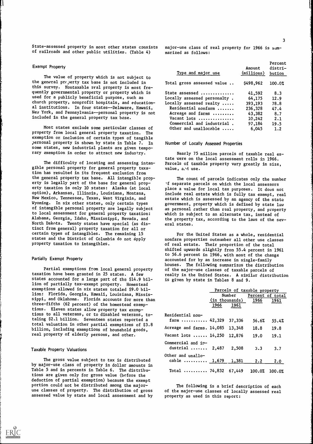State-assessed property in most other states consists of railroads and other public utilities. (Table 4)

#### Exempt Property

The value of property which is not subject to the general pr()erty tax base is not included in this survey. Nontaxable real property is most frequently governmental property or property which is used for a publicly beneficial purpose, such as church property, nonprofit hospitals, and educational institutions. In four states--Delaware, Hawaii, New York, and Pennsylvania--personal property is not included in the general property tax base.

Most states exclude some particular classes of property from local general property taxation. The exemption or, inclusion of certain types of tangible personal property is shown by state in Table 7. In some states, new industrial plants are given temporary exemption in order to attract new industry.

The difficulty of locating and assessing intangible personal property for general property taxation has resulted in its frequent exclusion from the general property tax base. All intangible property is legally part of the base for general property taxation in only 10 states: Alaska (at local option), Arkansas, Illinois, Louisiana, Montana, New Mexico, Tennessee, Texas, West Virginia, and Wyoming. In six other states, only certain types of intangible personal property are legally subject to local assessment for general property taxation: Alabama, Georgia, Idaho, Mississippi, Nevada, and North Dakota. Twenty states have special (as distinct from general) property taxation for all or certain types of intangibles. The remaining 15 states and the District of Columbia do not apply property taxation to intangibles.

#### Partially Exempt Property

Partial exemptions from local general property taxation have been granted in 25 states. A few states accounted for a large part of the \$14.9 billion of partially tax-exempt property. Homestead exemptions allowed in six states totaled \$9.0 billion: Florida, Georgia, Hawaii, Louisiana, Mississippi, and Oklahoma. Florida, accounts for more than three-fifths (62 percent) of the homestead exemptions. Eleven states allow property tax exemptions to all veterans, or to disabled veterans, totaling \$2.1 billion. Seventeen states reported a total valuation in other partial exemptions of \$3.8 billion, including exemptions of household goods, real property of elderly persons, and other.

#### Taxable Property Valuations

The gross value subject to tax is distributed by major-use class of property in dollar amounts in Table 5 and in percents in Table 6. The distributions are given only for gross value (before the deduction of partial exemption) because the exempt portion could not be distributed among the majoruse classes of property. The distribution of gross assessed value by state and local assessment and by major-use class of real property for 1966 is summarized as follows:

| Type and major use                     | Amount<br>(millions) bution | Percent<br>distri- |
|----------------------------------------|-----------------------------|--------------------|
| Total gross assessed value             | \$498,962                   | 100.0%             |
| State assessed                         | 41,592                      | 8.3                |
| $\verb Locally $ assessed personalty . | 64,175                      | 12.9               |
| Locally assessed realty $\ldots$ .     | 393,193                     | 78.8               |
| Residential nonfarm                    | 236,328                     | 47.4               |
| Acreage and farms                      | 43,382                      | 8.7                |
| Vacant lots                            | 10,242                      | 2.1                |
| Commercial and industrial.             | 97,184                      | 19.5               |
| Other and unallocable                  | 6,045                       | 1.2                |
|                                        |                             |                    |

Number of Locally Assessed Properties

Nearly 75 million parcels of taxable real estate were on the local assessment rolls in 1966. Parcels of taxable property vary greatly in size, value, and use.

The count of parcels indicates only the number -f separate parcels on which the local assessors place a value for local tax purposes. It does not include real estate which is fully tax exempt, real estate which is assessed by an agency of the state government, property which is defined by state law as personal rather than real property, and property which is subject to an alternate tax, instead of the property tax, according to the laws of the several states.

For the United States as a whole, residential nonfarm properties outnumber all other use classes of real estate. Their proportion of the total shifted upwards slightly from 55.4 percent in 1961 to 56.6 percent in 1966, with most of the change accounted for by an increase in single-family houses. The following summarizes the distribution of the major-use classes of taxable parcels of realty in the United States. A similar distribution is given by state in Tables 8 and 9.

|                                                   |      |                                  | Parcels of taxable property<br>Number Percent of total |        |  |  |
|---------------------------------------------------|------|----------------------------------|--------------------------------------------------------|--------|--|--|
|                                                   | 1966 | $(in$ thousands $)$ 1966<br>1961 |                                                        | 1961   |  |  |
| <b>Residential non-</b><br>$\texttt{farm}$ 42,329 |      | 37,336                           | 56.6%                                                  | 55.4%  |  |  |
| Acreage and farms. 14,085                         |      | 13,348                           | 18.8                                                   | 19.8   |  |  |
| Vacant lots $\,\ldots\,$ . 14,250                 |      | 12,876                           | 19.0                                                   | 19.1   |  |  |
| Commercial and in-<br>dustrial $2,487$            |      | 2,508                            | 3.3                                                    | 3.7    |  |  |
| Other and unallo-<br>cable $1,679$ $1,381$        |      |                                  | 2.2                                                    | 2.0    |  |  |
| Total  74,832 67,449 100.0%                       |      |                                  |                                                        | 100.0% |  |  |

The following is a brief description of each of the major-use classes of locally assessed real property as used in this report: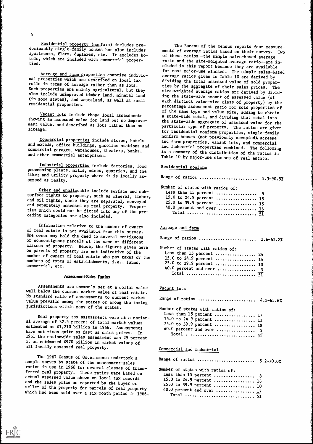Residential property (nonfarm) includes predominantly single-family houses but also includes apartments, flats, duplexes, etc. It excludes hotels, which are included with commercial properties.

Acreage and farm properties comprise individual properties which are described on local tax rolls in terms of acreage rather than as lots. Such properties are mainly agricultural, but they also include unimproved timber land, mineral land (in some states), and wasteland, as well as rural residential properties.

Vacant lots include those local assessments showing an assessed value for land but no improvement value, and described as lots rather than as acreage.

Commercial properties include stores, hotels and motels, office buildings, gasoline stations and commercial garages, warehouses, theaters, banks, and other commercial enterprises.

Industrial properties include factories, food processing plants, mills, mines, quarries, and the like; and utility property where it is locally assessed as realty.

Other and unallocable include surface and subsurface rights to property, such as mineral, timber, 15.0 to and oil rights, where they are separately conveyed and separately assessed as real property. Properties which could not be fitted into any of the preceding categories are also included.

Information relative to the number of owners of real estate is not available from this survey. One owner may hold the deed to several contiguous or noncontiguous parcels of the same or different classes of property. Hence, the figures given here on parcels of property are not indicative of the number of owners of real estate who pay taxes or the numbers of types of establishments, i.e., farms, commercial, etc.

## Assessment-Sales Ratios

Assessments are commonly set at a dollar value well below the current market value of real estate. No standard ratio of assessments to current market value prevails among the states or among the taxing jurisdictions within many of the states.

Real property tax assessments were at a national average of 32.5 percent of total market values estimated at \$1,210 billion in 1966. Assessments have not risen quite as fast as sales prices. In 1961 the nationwide sales assessment was 29 percent of an estimated \$970 billion in market values of all locally assessed real property.

The 1967 Census of Governments undertook a sample survey by state of the assessment-sales ratios in use in 1966 for several classes of transferred real property. These ratios were based on actual assessed value shown on local tax records and the sales price as reported by the buyer or seller of the property for parcels of real property which had been sold over a six-month period in 1966.

The Bureau of the Census reports four measurements of average ratios based on their survey. Two of these ratios--the simple sales-based average ratio and the size-weighted average ratio--are included in this report because they are available for most major-use classes. The simple sales-based average ratios given in Table 10 are derived by dividing the total assessed value of sold properties by the aggregate of their sales prices. The size-weighted average ratios are derived by dividing the state-wide amount of assessed value (of each distinct value-size class of property) by the percentage assessment ratio for sold properties of of the same type and value size, adding to obtain a state-wide total, and dividing that total into the state-wide aggregate of assessed value for the particular type of property. The ratios are given for residential nonfarm properties, single-family nonfarm houses (not previously occupied), acreage and farm properties, vacant lots, and commercial and industrial properties combined. The following is a summary of the distribution of the ratios in Table 10 by major-use classes of real estate.

#### Residential nonfarm

Range of ratios .......................... 5.3-90.5%

Number of states with ratios of: Less than 15 percent  $\ldots$   $\ldots$   $\ldots$  5

| 15.0 to 24.9 percent  15  |  |
|---------------------------|--|
| 25.0 to 39.9 percent  15  |  |
| 40.0 percent and over  16 |  |
|                           |  |

Acreage and farm

Range of ratios ......................... 3.6-61.2% Number of states with ratios of:<br>Less than 15 percent

|  | Less than 15 percent  24 |  |
|--|--------------------------|--|
|  | 15.0 to 24.9 percent  14 |  |
|  | 25.0 to 39.9 percent  10 |  |
|  | 40.0 percent and over  3 |  |
|  |                          |  |

#### Vacant lots

| Range of ratios  4.3-65.6%       |
|----------------------------------|
| Number of states with ratios of: |
| Less than 15 percent  17         |
| 15.0 to 24.9 percent  11         |
| 25.0 to 39.9 percent  18         |
| 40.0 percent and over  5         |
|                                  |
|                                  |

# Commercial and industrial

Range of ratios ......................... 5.2-70.0%

Number of states with ratios of:

| Less than 15 percent  8   |  |
|---------------------------|--|
| 15.0 to 24.9 percent  16  |  |
| 25.0 to 39.9 percent  10  |  |
| 40.0 percent and over  17 |  |
|                           |  |

4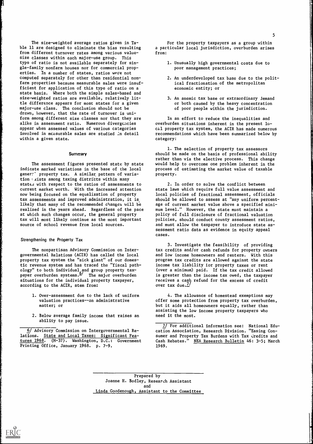The size-weighted average ratios given in Table 11 are designed to eliminate the bias resulting from different turnover rates among various valuesize classes within each major-use group. This type of ratio is not available separately for single-family nonfarm houses nor for commercial properties. In a number of states, ratios were not computed separately for other than residential nonfarm properties because measurable sales were insufficient for application of this type of ratio on a state basis. Where both the simple sales-based and size-weighted ratios are available, relatively little difference appears for most states for a given major-use class. The conclusion should not be drawn, however, that the rate of turnover is uniform among different size classes nor that they are alike in assessment ratio. Numerous divergencies appear when assessed values of various categories involved in measurable sales are studied in detail within a given state.

#### **Summary**

The assessment figures presented state by state indicate marked variations in the base of the local gener:<sup>-</sup> property tax. A similar pattern of variation : xists among taxing districts within many states with respect to the ratios of assessments to current market worth. With the increased attention now being focused on the equalization of property tax assessments and improved administration, it is likely that many of the recommended changes will be realized in the years ahead. Regardless of the pace at which such changes occur, the general property tax will most likely continue as the most important source of school revenue from local sources.

#### Strengthening the Property Tax

ERIC

The nonpartisan Advisory Commission on Intergovernmental Relations (ACIR) has called the local property tax system the "sick giant" of our domestic revenue system and has traced the "fiscal pathology" to both individual and group property taxpayer overburden systems.<del>"</del>' The major overburden **the** situations for the individual property taxpayer, according to the ACIR, stem from:

- 1. Over-assessment due to the lack of uniform valuation practices--an administrative matter; or
- 2. Below average family income that raises an ability to pay issue.

6/ Advisory Commission on Intergovernmental Relations. State and Local Taxes: Significant Features 1968. (M-37). Washington, D.C.: Government Printing Office, January 1968. p. 7-9.

For the property taxpayers as a group within a particular local jurisdiction, overburden arises from:

- 1. Unusually high governmental costs due to poor management practices;
- 2. An underdeveloped tax base due to the political fractionation of the metropolitan economic entity; or
- 3. An anemic tax base or extraordinary demand or both caused by the heavy concentration of poor people within the jurisdiction.

In an effort to reduce the inequalities and overburden situations inherent in the present local property tax system, the ACIR has made numerous recommendations which have been summarized below by category:

1. The selection of property tax assessors should be made on the basis of professional ability rather than via the elective process. This change would help to overcome one problem inherent in the process of estimating the market value of taxable property.

2. In order to solve the conflict between state laws which require full value assessment and local policies of fractional assessment, officials should be allowed to assess at "any uniform percentage of current market value above a specified minimum level." However, the state must maintain a policy of full disclosure of fractional valuation policies, should conduct county assessment ratios, and must allow the taxpayer to introduce state assessment ratio data as evidence in equity appeal cases.

3. Investigate the feasibility of providing tax credits and/or cash refunds for property owners and low income homeowners and renters. With this program tax credits are allowed against the state income tax liability for property taxes or rent (over a minimum) paid. If the tax credit allowed is greater than the income tax owed, the taxpayer receives a cash refund for the excess of credit over tax due. $\frac{1}{2}$ 

4. The allowance of homestead exemptions may offer some protection from property tax overburden, but it aids all homeowners equally, rather than assisting the low income property taxpayers who need it the most.

7/ For additional information see: National Education Association, Research Division. "Easing Consumer and Property Tax Burdens with Tax dredits and Cash Rebates." NEA Research Bulletin 46: 3-5; March 1969.

Prepared by Joanne H. Bodley, Research Assistant and Linda Goodenough, Assistant to the Committee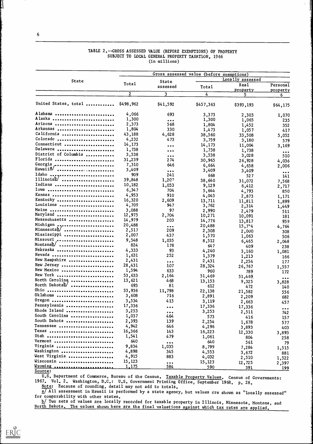|                      | Gross assessed value (before exemptions) |                                |                  |           |                                |  |
|----------------------|------------------------------------------|--------------------------------|------------------|-----------|--------------------------------|--|
| State                |                                          | <b>State</b>                   | Locally assessed |           |                                |  |
|                      | Total                                    | assessed                       | Total            | Real      | Personal                       |  |
|                      | $\mathbf{2}$                             |                                |                  | property  | property                       |  |
|                      |                                          | $\mathbf{3}$                   | 4                | 5.        | 6.                             |  |
| United States, total | \$498,962                                | \$41,592                       | \$457,363        | \$393,193 | \$64,175                       |  |
| Alabama              | 4,066                                    | 693                            | 3,373            | 2,303     | 1,070                          |  |
| Alaska               | 1,300                                    | $\bullet\bullet\bullet$        | 1,300            | 1,065     | 235                            |  |
| Arizona              | 2,373                                    | 568                            | 1,804            | 1,452     | 352                            |  |
| Arkansas             | 1,804                                    | 330                            | 1,473            | 1,057     | 417                            |  |
| California           | 43,188                                   | 4,628                          | 38,560           | 33,508    | 5,052                          |  |
| Colorado             | 4,232                                    | 473                            | 3,759            | 3,180     | 579                            |  |
| Connecticut          | 14,173                                   | $\bullet\bullet\bullet$        | 14,173           | 11,004    | 3,169                          |  |
| Delaware             | 1,738                                    | $\bullet\bullet\bullet$        | 1,738            | 1,738     |                                |  |
| District of Columbia | 3,538                                    | $\bullet\bullet\bullet$        | 3,538            | 3,028     | $\bullet\bullet\bullet$<br>510 |  |
| Florida              | 31,239                                   | 274                            | 30,965           | 26,928    | 4,036                          |  |
| Georgia "            | 7,310                                    | 646                            | 6,664            | 4,658     | 2,006                          |  |
| Hawaii <sup>a</sup>  | 3,409                                    | $\bullet\bullet\bullet$        | 3,409            | 3,409     |                                |  |
| Idaho                | 909                                      | 241                            | 668              | 527       | $\bullet\bullet\bullet$<br>141 |  |
| $\text{Illinois}$    | 39,848                                   | 1,207                          | 38,640           | 31,072    |                                |  |
| Indiana              | 10,182                                   | 1,053                          | 9,129            | 6,412     | 7,568                          |  |
| Iowa                 | 6,347                                    | 704                            | 5,644            |           | 2,717                          |  |
| Kansas               | 4,953                                    | 910                            | 4,043            | 4,793     | 850                            |  |
| Kentucky             | 16,320                                   | 2,609                          | 13,711           | 2,873     | 1,171                          |  |
| Louisiana            | 4,709                                    | 947                            | 3,762            | 11,811    | 1,899                          |  |
| Maine                | 3,088                                    | 97                             | 2,990            | 2,314     | 1,449                          |  |
| Maryland             | 12,975                                   | 2,704                          | 10,271           | 2,479     | 511                            |  |
| Massachusetts        | 14,979                                   | 203                            | 14,776           | 10,091    | 181                            |  |
| Michigan             | 20,488                                   |                                | 20,488           | 13,817    | 959                            |  |
| Minnesotal/          | 2,517                                    | $\bullet\bullet\bullet$<br>209 |                  | 15,7.4    | 4,764                          |  |
| Mississippi          | 2,007                                    | 437                            | 2,308            | 2,000     | 308                            |  |
| Missouri             | 9,548                                    | 1,035                          | 1,570            | 1,063     | 506                            |  |
| Montanab/            | 824                                      | 178                            | 8,512<br>647     | 6,465     | 2,048                          |  |
| Nebraska             | 4,333                                    | 93                             |                  | 409       | 238                            |  |
| Nevada               | 1,631                                    | 252                            | 4,240            | 3,160     | 1,081                          |  |
| New Hampshire        | 2,431                                    |                                | 1,379            | 1,213     | 166                            |  |
| New Jersey           | 28,431                                   | $\bullet\bullet\bullet$        | 2,431            | 2,254     | 177                            |  |
| New Mexico           | 1,594                                    | 107                            | 28,324           | 26,767    | 1,557                          |  |
| New York             |                                          | 633                            | 960              | 789       | 172                            |  |
| North Carolina,      | 53,633                                   | 2,164                          | 51,469           | 51,469    | $\bullet\bullet\bullet$        |  |
| North Dakotab/       | 13,621                                   | 468                            | 13,153           | 9,325     | 3,828                          |  |
|                      | 693                                      | 81                             | 612              | 472       | 140                            |  |
| 0hio                 | 33,936                                   | 11,798                         | 22,138           | 21,582    | 556                            |  |
| 0klahoma             | 3,608                                    | 716                            | 2,891            | 2,209     | 682                            |  |
| 0regon               | 3,534                                    | 415                            | 3,119            | 2,663     | 457                            |  |
| Pennsylvania         | 17,336                                   | $\bullet\bullet\bullet$        | 17,336           | 17,336    | $\bullet\bullet\bullet$        |  |
| Rhode Island         | 3,253                                    | $\bullet\bullet\bullet$        | 3,253            | 2,511     | 742                            |  |
| South Carolina       | 1,037                                    | 464                            | 573              | 416       | 157                            |  |
| South Dakota         | 2,393                                    | 139                            | 2,254            | 1,678     | 577                            |  |
| Tennessee            | 4,942                                    | 646                            | 4,296            | 3,893     | 403                            |  |
| Texas                | 16,366                                   | 143                            | 16,223           | 12,330    | 3,893                          |  |
| Utah                 | 1,541                                    | 479                            | 1,061            | 804       | 258                            |  |
| Vermont              | 640                                      | $\bullet\bullet\bullet$        | 640              | 561       | 79                             |  |
| Virginia             | 9,834                                    | 1,035                          | 8,799            | 7,284     | 1,515                          |  |
| Washington           | 4,898                                    | 345                            | 4,553            | 3,672     | 881                            |  |
| West Virginia        | 4,915                                    | 883                            | 4,032            | 2,510     | 1,522                          |  |
| Wisconsin            | 15,123                                   | $\bullet\bullet\bullet$        | 15,123           | 12,725    | 2,397                          |  |
| Wyoming              | 1,175                                    | 584                            | 590              | 391       | 199                            |  |

# TABLE 2.--GROSS ASSESSED VALUE (BEFORE EXEMPTIONS) OF PROPERTY SUBJECT TO LOCAL GENERAL PROPERTY TAXATION, 1966 (in millions)

Source:

U.S. Department of Commerce, Bureau of the Census. Taxable Property Values. Census of Governments: 1967. Vol. 2. Washington, D.C.: U.S. Government Printing Office, September 1968. p. 28.

Note: Because of rounding, detail may not add to totals.

 $\overline{a/11}$  assessment in Hawaii is performed by a state agency, but values are shown as "locally assessed" for comparability with other states.

12/ Two sets of values are locally recorded for taxable property in Illinois, Minnesota, Montana, and North Dakota. The values shown here are the final valuations against which tax rates are applied.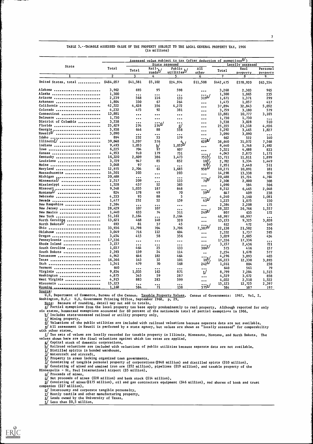|                        |                 | Assessed value subject to tax (after deduction of exemptions <sup>2)</sup> )<br>State assessed<br>Locally assessed |                             |                                  |                                            |           |                  |                         |
|------------------------|-----------------|--------------------------------------------------------------------------------------------------------------------|-----------------------------|----------------------------------|--------------------------------------------|-----------|------------------|-------------------------|
| State                  | Total           |                                                                                                                    |                             |                                  | A11                                        |           |                  |                         |
|                        |                 | Total                                                                                                              | $rac{Ra11_b}{\text{roads}}$ | Public b/                        | other                                      | Total     | Real<br>property | Personal                |
|                        | $\overline{2}$  | 3                                                                                                                  | 4                           | 5.                               | 6                                          | 7         | 8                | property<br>9           |
| United States, total   | \$484,057       | \$41,581                                                                                                           | \$5,102                     | \$24,974                         | \$11,508                                   | \$442,475 | \$378,920        | \$63,554                |
|                        |                 |                                                                                                                    |                             |                                  |                                            |           |                  |                         |
| Alabama                | 3,962           | 693                                                                                                                | 95                          | 598                              | $\cdots$                                   | 3,268     | 2,303            | 965                     |
| Alaska                 | 1,300           | $\bullet\bullet\bullet$                                                                                            | $\bullet\bullet\bullet$     |                                  |                                            | 1,300     | 1,065            | 235                     |
| Arizona                | 2,239           | 568                                                                                                                | 116                         | 133                              | $\mathbf{e}$ ورة                           | 1,671     | 1,371            | 299                     |
| Arkansas               | 1,804           | 330                                                                                                                | 67                          | 264                              | $\bullet\bullet\bullet$                    | 1,473     | 1,057            | 417                     |
| California             | 42,522          | 4,628                                                                                                              | 356                         | 4,272                            | $\bullet\bullet\bullet$                    | 37,894    | 32,843           | 5,052                   |
| Colorado               | 4,232           | 473                                                                                                                | 92                          | 381                              | $\cdots$                                   | 3,759     | 3,180            | 579                     |
| Connecticut            | 13,881          | $\ddotsc$                                                                                                          | $\ddotsc$                   | $\bullet\bullet\bullet$          | $\bullet\bullet\bullet$                    | 13,881    | 10,777           | 3,103                   |
| Delaware               | 1,730           | $\ddotsc$                                                                                                          | $\ddotsc$                   | $\ddotsc$                        | $\bullet\bullet\bullet$                    | 1,730     | 1,730            | $\ddotsc$               |
| District of Columbia   | 3,538           | $\bullet \bullet \bullet$                                                                                          |                             | $\bullet\bullet\bullet$          | $\ddotsc$                                  | 3,538     | 3,028            | 510                     |
| Florida                | 25,629          | 274                                                                                                                | $274^{\frac{1}{2}}$         | d/                               | $\bullet\bullet\bullet$                    | 25,355    | 21,318           | 4,036                   |
| Georgia <sub>n</sub>   | 5,938           | 646                                                                                                                | 88                          | 558                              | $\bullet\bullet\bullet$                    | 5,292     | 3,465            | 1,827                   |
| Hawaii <sup>e</sup>    | 3,090           | $\cdots$                                                                                                           | $\cdots$                    | $\bullet\bullet\bullet$          | $\bullet\bullet\bullet$                    | 3,090     | 3,090            | $\bullet\bullet\bullet$ |
| Idaho                  | 894             | 232                                                                                                                | 53                          | 179                              |                                            | 662       | 522              | 140                     |
|                        | 39,848          | 1,207                                                                                                              | 576                         | 4.                               | 6288/                                      | 38,640    | 31,072           | 7,568                   |
| lndiana                | 9,493           | 1,053                                                                                                              | $\frac{h}{2}$               | $1,053^{\underline{h}}$          | $\bullet\bullet\bullet$                    | 8,440     | 5,748            | 2,692                   |
| Iowa<br>               | 6,225           | 704                                                                                                                | 97                          | 607                              |                                            | 5,521     | 4,688            | 833                     |
| Kansas                 | 4,953           | 910                                                                                                                | 179                         | 731                              | $\bullet\bullet\bullet$                    | 4,043     | 2,873            | 1,171                   |
| Kentucky               | 16,320          | 2,609                                                                                                              | 386                         | 1,473                            | 751                                        | 13,711    | 11,811           | 1,899                   |
| Louisiana              | 3,729           | 947                                                                                                                | 85                          | 852                              | ىبى 1                                      | 2,782     | 1,334            | 1,449                   |
| Maine                  | 3,048           | 97                                                                                                                 |                             |                                  | 97                                         | 2,951     | 2,440            | 511                     |
| Maryland               | 12,975          | 2,704                                                                                                              | $\ddotsc$<br>61             | $\bullet\bullet\bullet$<br>1,685 | 958≏                                       | 10,271    | 10,091           | 181                     |
| Massachusetts          | 14,501          | 203                                                                                                                |                             | 203                              |                                            | 14,298    | 13,338           | 959                     |
| Michigan               | 20,488          |                                                                                                                    | $\ddotsc$                   |                                  | $\bullet\bullet\bullet$                    | 20,488    | 15,724           |                         |
| Minnesota!             | 2,517           | $\bullet\bullet\bullet$<br>209                                                                                     | $\cdots$                    | $\cdots$<br>133                  | ∙••;™                                      |           |                  | 4,764                   |
| Mississippi            | 1,528           | 437                                                                                                                | $\ddotsc$<br>52             | 385                              |                                            | 2,308     | 2,000            | 308                     |
| Missouri<br>           | 9,548           | 1,035                                                                                                              | 187                         | 848                              | $\bullet\bullet\bullet$                    | 1,090     | 584              | 506                     |
| Montana <sup>L/</sup>  | 824             | 178                                                                                                                | 49                          | 70                               | $\cdot$ $\cdot$ $\cdot$ $\cdot$ $\cdot$    | 8,512     | 6,465            | 2,048                   |
| Nebraska               | 4,333           | 93                                                                                                                 | 88                          | 5                                |                                            | 64 7      | 409              | 238                     |
| Nevada                 |                 | 252                                                                                                                | 52                          |                                  | ⁄ءٍ;ٍ;•                                    | 4,240     | 3,160            | 1,081                   |
| New Hampshire          | 1,477           |                                                                                                                    |                             | 159                              |                                            | 1,225     | 1,075            | 150                     |
|                        | 2,384           | $\ddotsc$                                                                                                          | $\ddotsc$                   | $\cdots$                         | $\bullet\bullet\bullet$                    | 2,384     | 2,208            | 175                     |
| New Jersey             | 28,429<br>1,440 | 107                                                                                                                | 107                         | $\bullet\bullet\bullet$          | $\frac{1}{2}$ وءُ $\frac{1}{2}$            | 28,322    | 26,766           | 1,557                   |
| New Mexico             |                 | 633                                                                                                                | 74                          | 311                              |                                            | 807       | 635              | 172                     |
| New York               | 51,161          | 2,164                                                                                                              | $\ddotsc$                   | 2,164                            | $\bullet\bullet\bullet$                    | 48,997    | 48,997           | $\bullet\bullet\bullet$ |
| North Carolina         | 13,621          | 468                                                                                                                | 148                         | 320                              | $\bullet\bullet\bullet$                    | 13,153    | 9,325            | 3,828                   |
| North DakotaL/<br>Ohio | 693             | 81                                                                                                                 | 37                          | 45                               | 7,3879                                     | 612       | 472              | 140                     |
|                        | 33,936          | 11,798                                                                                                             | 704                         | 3,706                            |                                            | 22,138    | 21,582           | 556                     |
| Oklahoma               | 3,049           | 716                                                                                                                | 112                         | 604                              | $\ddot{\bullet}$ $\dot{\bullet}$           | 2,332     | 1,737            | 595                     |
| 0regon                 | 3,454           | 415                                                                                                                | 58                          | 356                              | $\bullet \bullet \bullet$                  | 3,039     | 2,605            | 434                     |
| Pennsylvania           | 17,336          | $\ddotsc$                                                                                                          | $\ddotsc$                   | $\ddotsc$                        | $\bullet\bullet\bullet$                    | 17,336    | 17,336           | $\bullet\bullet\bullet$ |
| Rhode Island           | 3,157           | $\bullet\bullet\bullet$                                                                                            | $\bullet\bullet\bullet$     | $\bullet\bullet\bullet$          | $306^{\circ}$                              | 3,157     | 2,436            | 721                     |
| South Carolina         | 1,037           | 464                                                                                                                | 25                          | 133                              |                                            | 573       | 416              | 157                     |
| South Dakota           | 2,393           | 139                                                                                                                | 24                          | 114                              | $\bullet$ $\bullet$                        | 2,254     | 1,678            | 577                     |
| Tennessee              | 4,942           | 646                                                                                                                | 182                         | 464                              |                                            | 4,296     | 3,893            | 403                     |
| Texas                  | 16,366          | 143                                                                                                                | 32                          | 101                              | $\cdot \cdot \cdot \cdot$ <sub>10</sub> s/ | 16,223    | 12,330           | 3,893                   |
| Utch                   | 1,541           | 479                                                                                                                | 70                          | 168                              | $242^{\circ}$                              | 1,051     | 804              | 258                     |
| Vermont                | 640             | $\cdots$                                                                                                           | $\cdots$                    | $\bullet\bullet\bullet$          | $\bullet\bullet\bullet$                    | 640       | 561              | 79                      |
| Virginia               | 9,834           | 1,035                                                                                                              | 163                         | 871                              | <u>ย/</u>                                  | 8,799     | 7,284            | 1,515                   |
| Washington             | 4,875           | 345                                                                                                                | 59                          | 287                              | $\bullet\bullet\bullet$                    | 4,529     | 3,672            | 858                     |
| West Virginia          | 4,915           | 883                                                                                                                | 283                         | 599                              | $\cdots$                                   | 4,032     | 2,510            | 1,522                   |
| Wisconsin              | 15,123          | $\bullet$ $\bullet$ $\bullet$                                                                                      | $\bullet\bullet\bullet$     | $\bullet\bullet\bullet$          |                                            | 15,123    | 12,725           | 2,397                   |
| Wyoming                | 1,168           | 584                                                                                                                | 71                          | 138                              | 3755/                                      | 584       | 387              | 197                     |

TABLE 3. -- TAXABLE ASSESSED VALUE OF THE PROPERTY SUBJECT TO THE LOCAL GENERAL PROPERTY TAX, 1966 (in millions)

U.S. Department of Commerce, Bureau of the Census. Taxable Property Values. Census of Governments: 1967, Vol. 2, Washington, D.C.: U.S. Government Printing Office, September 1968. p. 29. Note: Because of rounding, detail may not add to totals.

a/ Partial exemptions from the local property tax base apply predominantly to real property. Although reported for only six states, homestead exemptions accounted for 60 percent of the nationwide total of partial exemptions in 1966. b/ Includes state-assessed railroad or utility property only.

 $C$  Mining property.

Source:

J Valuations of the public utilities are included with railroad valuations because separate data are not available. e/ All assessment in Hawaii is performed by a state agency, but values are shown as "locally assessed" for comparability with other states.

2/ Two sets of values are locally recorded for taxable property in Illinois, Minnesota, Montana, and North Dakota. The values shown here are the final valuations against which tax rates are applied.

g/ Capital stock of domestic corporations.

 $\overline{h}$ / Railroad valuations are included with valuations of public utilities because separate data are not available.  $\overline{\textbf{i}}$  Distilled spirits in bonded warehouse.

 $1/$  Watercraft and aircraft.

K/ Property in areas lacking organized town governments.

1/ Consisting of tangible personal property of corporations(\$948 million) and distilled spirts (\$10 million).

2/ Consisting of mined and unmined iron ore (\$52 million), pipelines (\$19 million), and taxable property of the

Minneapolis - St. Paul International Airport (\$5 million).<br>  $\underline{n}$ / Proceeds of mines. Proceeds of mines

 $\overline{0}$  Net proceeds of mines (\$28 million) and bank stock (\$14 million).

2/ Consisting of mines(\$175 million), oil and gas contractors equipment (\$46 million), and shares of bank and trust companies (\$27 million).

2/ Intercounty and corporate tangible personalty.

 $\tilde{r}$  Mostly textile and other manufacturing property.

 $S/I$  lands owned by the University of Texas.

 $L$  Less than  $0.5$  million.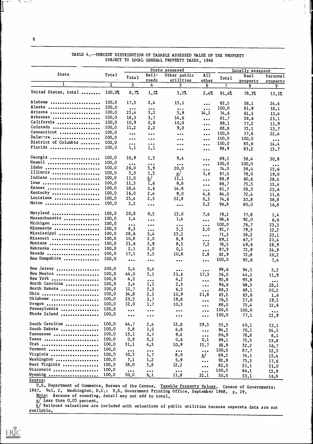|                      |                |                                 |                                                              | State assessed                |                                                   | Locally assessed |          |                         |
|----------------------|----------------|---------------------------------|--------------------------------------------------------------|-------------------------------|---------------------------------------------------|------------------|----------|-------------------------|
| State                | Total          | Total                           | Rail-                                                        | Other public                  | A11                                               |                  | Real     | Personal                |
|                      |                |                                 | roads                                                        | utilities                     | other                                             | Total            | property | property                |
| 1                    | $\overline{2}$ | $\overline{\mathbf{3}}$         | 4                                                            | 5                             | 6                                                 | $\overline{I}$   | 8        | 9                       |
| United States, total | 100.07         | 8.7%                            | 1.17.                                                        | 5.2%                          | 2.47                                              | 91.47            | 78.3%    | 13.1%                   |
| Alabama              | 100.0          | 17.5                            | 2,4                                                          | 15.1                          | $\bullet$ $\bullet$ $\bullet$                     | 82.5             | 58.1     | 24.4                    |
| Alaska               | 100.0          | $\bullet\bullet\bullet$         | $\bullet\bullet\bullet$                                      | $\bullet\ \bullet\ \bullet$   | $\bullet\bullet\bullet$                           | 100.0            | 81.9     | 18.1                    |
| Arizona              | 100.0          | 25.4                            | 5.2                                                          | 5.9                           | 14.2                                              | 74.6             | 61.3     | 13.4                    |
| Arkansas             | 100.0          | 18.3                            | 3.7                                                          | 14.6                          |                                                   |                  |          |                         |
| California           | 100.0          | 10.9                            |                                                              |                               | $\bullet\bullet\bullet$                           | 81.7             | 58.6     | 23.1                    |
|                      |                |                                 | 0, 8                                                         | 10.0                          | $\bullet\bullet\bullet$                           | 89.1             | 77.2     | 11.9                    |
| Colorado             | 100.0          | 11.2                            | 2, 2                                                         | 9,0                           | $\bullet\bullet\bullet$                           | 88.8             | 75.1     | 13.7                    |
| Connecticut          | 100, 0         | $\bullet\bullet\bullet$         | $\bullet\bullet\bullet$                                      | $\bullet\bullet\bullet$       | $\bullet\bullet\bullet$                           | 100.0            | 77.6     | 22.4                    |
| Delavore             | 100.0          | $\bullet$ $\bullet$ $\bullet$   | $\bullet\bullet\bullet$                                      | $\bullet$ $\bullet$           | $\ddot{\bullet}$ $\dot{\bullet}$ $\ddot{\bullet}$ | 100.0            | 100.0    | $\bullet\bullet\bullet$ |
| District of Columbia | 100.0          | $\bullet\bullet\bullet$         | $\bullet\bullet\bullet$                                      | $\bullet$ $\bullet$ $\bullet$ | $\bullet$ $\bullet$ $\bullet$                     | 100.0            | 85.6     | 14.4                    |
| Florida              | 100.0          | 1,1                             | 1,1                                                          | $\bullet\bullet\bullet$       | $\cdots$                                          | 98.9             | 83.2     | 15.7                    |
| Georgia              | 100.0          | 10.9                            | 1,5                                                          | 9,4                           |                                                   | 89.1             | 58.4     | 30.8                    |
| Hawaii               | 100.0          |                                 |                                                              |                               | $\ddot{\bullet}$                                  |                  |          |                         |
| Idaho                | 100.0          | $\bullet\bullet\bullet$<br>26.0 | $\begin{array}{ccc} \bullet & \bullet & \bullet \end{array}$ | $\bullet\bullet\bullet$       | $\ddot{\bullet}$                                  | 100, 0           | 100.0    | $\bullet\bullet\bullet$ |
|                      |                |                                 | 5, 9                                                         | 20.0                          | $\bullet\bullet\bullet$                           | 74.0             | 58.4     | 15.6                    |
| Illinois             | 100.0          | 3.0                             | 1.5                                                          | $\mathbf{a}/$                 | 1.6                                               | 97.0             | 78.0     | 19.0                    |
| Indiana              | 100.0          | 11.0                            | b/                                                           | 11,1                          | $\ddot{\bullet}$                                  | 88.9             | 60.6     | 28.4                    |
| Iowa                 | 100.0          | 11.3                            | 1.6                                                          | 9.8                           | $\bullet\bullet\bullet$                           | 88.7             | 75.3     | 13.4                    |
| Kansas               | 100.0          | 18.4                            | 3, 6                                                         | 14.8                          | $\bullet\bullet\bullet$                           | 81.7             | 58.0     | 23.6                    |
| Kentucky             | 100.0          | 16.0                            | 2,4                                                          | 9.0                           | 4.6                                               | 84.0             | 72.4     | 11.6                    |
| Louisiana            | 100.0          | 25.4                            | 2, 3                                                         | 22.8                          | 0, 3                                              | 74.6             |          |                         |
| Maine                | 100.0          | 3.2                             |                                                              |                               |                                                   |                  | 35.8     | 38.8                    |
|                      |                |                                 | $\bullet\bullet\bullet$                                      | $\bullet\bullet\bullet$       | 3.2                                               | 96.8             | 80.0     | 16.8                    |
| Maryland             | 100.0          | 20.8                            | 0.5                                                          | 13.0                          | 7,4                                               | 79.2             | 77.8     | 1,4                     |
| Massachusetts        | 100.0          | 1,4                             | $\bullet$ $\bullet$                                          | 1,4                           | $\ddot{\bullet}$                                  | 98.6             | 92.0     | 6, 6                    |
| Michigan             | 100.0          | $\bullet\bullet\bullet$         | $\bullet$ $\bullet$                                          | $\bullet\bullet\bullet$       | $\ddot{\bullet}$                                  | 100.0            | .76.7    | 23.3                    |
| Minnesota            | 100.0          | 8,3                             | $\bullet$ $\bullet$                                          | 5.3                           | 3.0                                               | 91.7             | 79.5     | 12.2                    |
| Mississippi          | 100.0          | 28.6                            | 3.4                                                          | 25.2                          |                                                   | 71.3             |          |                         |
| Missouri             | 100.0          | 10,8                            | 2, 0                                                         | 8.9                           | $\bullet\bullet\bullet$                           |                  | 38.2     | 33.1                    |
| Montana              | 100.0          |                                 |                                                              |                               | $\bullet\bullet\bullet$                           | 89.1             | 67.7     | 21.4                    |
|                      |                | 21.6                            | 5.9                                                          | 8,5                           | 7,2                                               | 78.5             | 49.6     | 28.9                    |
| Nebraska             | 100.0          | 2.1                             | 2,0                                                          | 0,1                           | $\bullet$ $\bullet$                               | 97.9             | 72.9     | 24.9                    |
| Nevada               | 100.0          | 17.1                            | 3.5                                                          | 10.8                          | 2.8                                               | 82.9             | 72.8     | 10.2                    |
| New Hampshire        | 100.0          | $\bullet\bullet\bullet$         | $\bullet\bullet\bullet$                                      | $\bullet\bullet\bullet$       | $\bullet\bullet\bullet$                           | 100.0            | 92.6     | 7.4                     |
| New Jersey           | 100.0          | 0,4                             | 0,4                                                          | $\bullet\bullet\bullet$       | $\bullet\bullet\bullet$                           | 99.6             | 94.1     | 5.5                     |
| New Mexico           | 100.0          | 44.0                            | 5.1                                                          | 21.6                          | 17.3                                              | 56.0             | 44.1     | 11.9                    |
| New York             | 100.0          | 4.2                             | $\bullet$ $\bullet$                                          | 4.2                           | $\bullet\bullet\bullet$                           | 95.8             | 95.8     |                         |
| North Carolina       | 100.0          | 3,4                             | 1,1                                                          | 2,3                           |                                                   | 96.6             |          | $\bullet\bullet\bullet$ |
| North Dakota         | 100.0          | 11.7                            | 5.3                                                          | 6.5                           | $\bullet\bullet\bullet$                           |                  | 68.5     | 28.1                    |
|                      | 100.0          |                                 |                                                              |                               | $\bullet\bullet\bullet$                           | 88.3             | 68.1     | 20.2                    |
| Ohio                 |                | 34.8                            | 2,1                                                          | 10.9                          | 21.8                                              | 65.2             | 63.6     | 1.6                     |
| 0klahoma             | 100.0          | 23.5                            | 3.7                                                          | 19.8                          | $\ddotsc$                                         | 76.5             | 57.0     | 19.5                    |
| Oregon               | 100.0          | 12.0                            | 1,7                                                          | 10.3                          | $\bullet\bullet\bullet$                           | 88.0             | 75.4     | 12.6                    |
| Pennsylvania         | 100.0          | $\bullet\bullet\bullet$         | $\bullet$ $\bullet$ $\bullet$                                | $\bullet\bullet\bullet$       | $\ddot{\bullet}$                                  | 100.0            | 100.0    | $\bullet\bullet\bullet$ |
| Rhode Island         | 100.0          | $\bullet\bullet\bullet$         | $\bullet\bullet\bullet$                                      | $\bullet\bullet\bullet$       | $\bullet\bullet\bullet$                           | 100,0            | 77.1     | 22.9                    |
| South Carolina       | 100.0          | 44.7                            | 2,4                                                          | 12.8                          | 29.5                                              | 55.3             | 40.1     | 15.1                    |
| South Dakota         | 100.0          | 5,8                             | 1,0                                                          | 4.8                           |                                                   | 94.2             | 70.1     |                         |
| Tennessee            | 100.0          | 13.1                            | 3.7                                                          | 9,4                           | $\ddot{\bullet}$                                  |                  |          | 24.1                    |
|                      | 100.0          |                                 |                                                              |                               | $\ddot{\bullet}$                                  | 86.9             | 78.8     | 8,1                     |
| Texas                |                | 0, 8                            | 0, 2                                                         | 0, 6                          | 0,1                                               | 99.1             | 75.3     | 23,8                    |
| Utah                 | 100.0          | 31,1                            | 4,5                                                          | 10.9                          | 15.7                                              | 68.9             | 52.2     | 16.7                    |
| Vermont              | 100,0          | $\bullet\bullet\bullet$         | $\bullet\bullet\bullet$                                      | $\bullet\bullet\bullet$       | $\bullet\bullet\bullet$                           | 100.0            | 87.7     | 12.3                    |
| Virginia             | 100.9          | 10.5                            | 1, 7                                                         | 8.9                           | $\mathbf{a}/$                                     | 89.5             | 74.1     | 15.4                    |
| Washington           | 100.0          | 7.1                             | 1,2                                                          | 5.9                           | $\bullet\bullet\bullet$                           | 92.9             | 75.3     | 17.6                    |
| West Virginia        | 100.0          | 18.0                            | 5.8                                                          | 12.2                          | $\bullet\bullet\bullet$                           | 82.0             | 51.1     |                         |
| Wisconsin            | 100.0          |                                 |                                                              |                               |                                                   | 100, 0           |          | 31,0                    |
| Wyoming              | 100.0          | $\bullet\bullet\bullet$<br>50.0 | $\bullet\bullet\bullet$                                      | $\bullet\bullet\bullet$       | $\bullet\bullet\bullet$                           |                  | 84.1     | 15.9                    |
|                      |                |                                 | 6,1                                                          | 11.8                          | 32.1                                              | 50,0             | 33.1     | 16.8                    |

# TABLE 4.--PERCENT DISTRIBUTION OF TAXABLE ASSESSED VALUE OF THE PROPERTY SUBJECT TO LOCAL GENERAL PROPERTY TAXES, 1966

ŧ

Source:

U.S. Department of Commerce, Bureau of the Census. Taxable Property Values. Census of Governments: 1967. Vol. 2. Washington, D.C.: U.S. Government Printing Office, September 1968. p. 29.

Note: Because of rounding, detail may not add to total.

a/ Less than 0.05 percent.

b/ Railroad valuations are included with valuations of public utilities because separate data are not<br>ilette available.

ិត cm

ERIC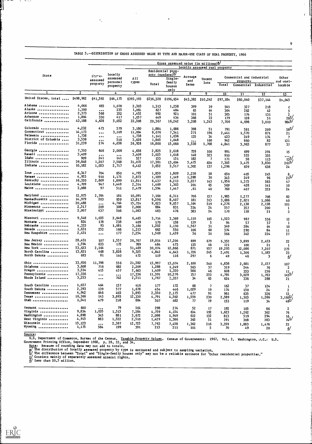|                                 | Gross assessed value (in millions) <sup>2</sup><br>Locally assessed real property |                                  |                                             |                  |                |                                                                    |                         |                |                  |                                       |                       |                                       |
|---------------------------------|-----------------------------------------------------------------------------------|----------------------------------|---------------------------------------------|------------------|----------------|--------------------------------------------------------------------|-------------------------|----------------|------------------|---------------------------------------|-----------------------|---------------------------------------|
| State                           |                                                                                   | Stare-<br>assessed<br>property   | Locally<br>assessed<br>personal<br>property | All<br>types     | Total          | Residential prop-<br>erty (nonfarm)<br>Single-<br>family<br>houses | Acreage<br>and<br>farms | Vacant<br>lots | Total            | Commercial and industrial<br>property | Commercial Industrial | Other<br>and unal-<br>locable         |
| -1                              | $\overline{2}$                                                                    | 3                                | 4                                           | 5                | 6              | only                                                               |                         |                |                  |                                       |                       |                                       |
|                                 |                                                                                   |                                  |                                             |                  |                |                                                                    | $8-$                    | 9              | 10 <sub>10</sub> | $\overline{\mathbf{u}}$               | $\overline{12}$       | $\overline{13}$                       |
| United States, total  \$498,962 |                                                                                   | \$41,592                         | \$64,175                                    | \$393,193        |                | \$236,328 \$196,654                                                | \$43,382                | \$10,242       | \$97,184         | \$60,040                              | \$37,144              | \$6,045                               |
| Alabama                         | 4,066                                                                             | 693                              | 1,070                                       | 2,303            | 1,313          | 1,258                                                              | 399                     | 39             | 545              | 327                                   | 218                   | E                                     |
| Alaska<br>Arizona               | 1,300                                                                             | $\cdots$                         | 235                                         | 1,065            | 62 7           | 484                                                                | 65                      | 64             | 304              | 262                                   | 42                    | 5                                     |
| Arkansas                        | 2,373<br>1,804                                                                    | 568<br>330                       | 352                                         | 1,452            | 992            | 921                                                                | 101                     | 51             | 305              | 174                                   | 131                   | 285/                                  |
| California                      | 43,188                                                                            | 4,628                            | 417<br>5,052                                | 1,057<br>33,508  | 449            | 434                                                                | 368                     | 33             | 179              | 128                                   | 51                    |                                       |
|                                 |                                                                                   |                                  |                                             |                  | 20,367         | 16,242                                                             | 3,208                   | 1,243          | 7,706            | 4,696                                 | 3,010                 | 984 <sup>SJ</sup>                     |
| Colorado                        | 4,232                                                                             | 473                              | 579                                         | 3,180            | 1,884          | 1,686                                                              | 398                     | 51             | 791              | 581                                   | 209                   | ⁄≗58                                  |
| Connecticut                     | 14,173                                                                            | $\cdots$                         | 3,169                                       | 11,004           | 8,076          | 7,541                                                              | 271                     | 196            | 2,441            | 1,570                                 | 871                   | 21                                    |
| Delaware                        | 1,738                                                                             | $\cdots$                         | $\bullet\bullet\bullet$                     | 1,738            | 1,141          | 1,036                                                              | 135                     | 34             | 423              | 249                                   | 174                   | 7                                     |
| District of Columbia            | 3,538                                                                             | $\bullet\bullet\bullet$          | 510                                         | 3,028            | 1,805          | 1,048                                                              | $\cdots$                | 160            | 942              | 860                                   | 82                    | 121                                   |
| Florida                         | 31,239                                                                            | 274                              | 4,036                                       | 26,928           | 16,800         | 15,060                                                             | 3,538                   | 1,708          | 4,841            | 3,963                                 | 877                   | 37                                    |
| Georgia                         | 7,310                                                                             | 646                              | 2,006                                       | 4,658            | 2,825          | 2,618                                                              | 728                     | 100            | 991              | 699                                   | 291                   | 15                                    |
| Hawaii                          | 3,409                                                                             | $\cdots$                         | $\bullet\bullet\bullet$                     | 3,409            | 2,025          | 1,618                                                              | 148                     | 323            | 910              | 555                                   | 355                   |                                       |
| Idaho                           | 909                                                                               | 241                              | 141                                         | 527              | 153            | 151                                                                | 182                     | -7             | 171              | 58                                    | 113                   |                                       |
| Illinois                        | 39,848                                                                            | 1,207                            | 7,568                                       | 31,072           | 17,381         | 13,604                                                             | 5,475                   | 650            | 7,305            | 3,475                                 | 3,830                 | $261$ <sup><math>\degree</math></sup> |
| Indiana                         | 10,182                                                                            | 1,053                            | 2,717                                       | 6,412            | 3,652          | 3,517                                                              | 1,302                   | 137            | 1,296            | 659                                   | 638                   | 24                                    |
| Iowa                            | 6,347                                                                             | 704                              | 850                                         | 4,793            | 1,859          | 1,809                                                              | 2,238                   | 38             |                  |                                       |                       |                                       |
| Kanaas                          | 4,953                                                                             | 910                              | 1,171                                       | 2,873            | 1,189          | 1,149                                                              | 1,288                   | 30             | 650              | 405                                   | 245                   | $\frac{8}{21}$ s/                     |
| Kentucky                        | 16,320                                                                            | 2,609                            | 1,899                                       | 11,811           | 6,437          | 6,213                                                              | 3,227                   | 143            | 345<br>1,956     | 249                                   | 96                    |                                       |
| Louisiana                       | 4,709                                                                             | 947                              | 1,449                                       | 2,314            | 1,469          | 1,303                                                              | 201                     | 65             | 569              | 1,373                                 | 583                   | 47                                    |
| Maine                           | 3,088                                                                             | 97                               | 511                                         | 2,479            | 1,594          | 1,447                                                              | . 61                    | 40             | 760              | 428<br>407                            | 141<br>353            | 10<br>24                              |
|                                 |                                                                                   |                                  |                                             |                  |                |                                                                    |                         |                |                  |                                       |                       |                                       |
| Maryland<br>Massachusetts       | 12,975<br>14,979                                                                  | 2,704<br>203                     | 181<br>959                                  | 10,091<br>13,817 | 7,160          | 6,311                                                              | 706                     | 157            | 1,985            | 1,277                                 | 708                   | 82                                    |
| Michigan                        | 20,488                                                                            |                                  | 4,764                                       | 15,724           | 9,596<br>9,623 | 8,407                                                              | 181                     | 313            | 3,686            | 2,621                                 | 1,066                 | 40                                    |
| Minnesota                       | 2,517                                                                             | $\cdots$<br>209                  | 308                                         | 2,000            | 884            | 9,057<br>831                                                       | 1,164<br>534            | 519<br>24      | 4,276            | 2,138                                 | 2,138                 | 101                                   |
| Mississippi                     | 2,007                                                                             | 437                              | 506                                         | 1,063            | 483            | 476                                                                | 383                     | 24             | 557<br>1/0       | 357<br>118                            | 200<br>51             | 1<br>3                                |
|                                 |                                                                                   |                                  |                                             |                  |                |                                                                    |                         |                |                  |                                       |                       |                                       |
| Missouri                        | 9,548                                                                             | 1,035                            | 2,048                                       | 6,465            | 3,714          | 3,369                                                              | <i>i</i> ,110           | 105            | 1,523            | 987                                   | 536                   | 12                                    |
| Montana                         | 824                                                                               | 178                              | 238                                         | 409              | 170            | 158                                                                | 139                     | -5             | 94               | 57                                    | 37                    | $\mathbf{1}$                          |
| Nebraska<br>Nevada              | 4,333                                                                             | 93                               | 1,081                                       | 3,160            | 1,202          | 1,130                                                              | 1,567                   | 31             | 349              | 284                                   | 64                    | 10                                    |
| New Hampshire                   | 1,631<br>2,431                                                                    | 252                              | 166<br>177                                  | 1,213            | 662            | 550                                                                | 106                     | 60             | 374              | 290                                   | 84                    | 11                                    |
|                                 |                                                                                   | $\cdots$                         |                                             | 2,254            | 1,569          | 1,459                                                              | 56                      | 35             | 566              | 342                                   | 224                   | 27                                    |
| New Jersey                      | 28,431                                                                            | 107                              | 1,557                                       | 26,767           | 19,014         | 17,204                                                             | 699                     | 679            | 5,352            | 3,899                                 | 2,453                 | 22                                    |
| New Mexico                      | 1,594                                                                             | 633                              | 172                                         | 789              | 484            | 473                                                                | 135                     | 48             | 121              | 100                                   | 21                    | -1                                    |
| <b>New York </b>                | 53,633                                                                            | 2,164                            | $\bullet\bullet\bullet$                     | 51,469           | 30,074         | 12,866                                                             | 871                     | 957            | 19,293           | 12,086                                | 7,207                 | 275                                   |
| North Carolina                  | 13,621                                                                            | 468                              | 3,828                                       | 9,325            | 4,842          | 4,643                                                              | 1,726                   | 245            | 2,491            | 1,306                                 | 1,185                 | 23                                    |
| North Dakota                    | 693                                                                               | 81                               | 140                                         | 472              | 119            | 116                                                                | 297                     | 6              | 49               | 46                                    | 3                     | ₫                                     |
| 0hio                            | 33,936                                                                            | 11,798                           | 556                                         | 21,582           | 13,997         | 13,074                                                             | 2,100                   | 540            | 4,838            | 2,681                                 | 2,157                 | 107                                   |
| Oklahoma                        | 3,608                                                                             | 716                              | 682                                         | 2,209            | 1,288          | 1,249                                                              | 563                     | 37             | 319              | 244                                   | 76                    | $\mathbf{2}$                          |
| 0regon                          | 3,534                                                                             | 415                              | 457                                         | 2,663            | 1,409          | 1,320                                                              | 586                     | 46             | 608              | 353                                   | 256                   |                                       |
| Pennsylvania                    | 17,336                                                                            | $\bullet\bullet\bullet$          | $\bullet$ $\bullet$ $\bullet$               | 17,336           | 11,391         | 10,276                                                             | 75 7                    | 253            | 4,792            | 3,029                                 | 1,763                 | $\frac{11}{145}$ <sup>2</sup> /       |
| Rhode Island                    | 3,253                                                                             | $\bullet\bullet\bullet$          | 742                                         | 2,511            | 1,767          | 1,337                                                              | 34                      | 65             | 624              | 336                                   | 288                   | 21                                    |
| South Carolina                  | 1,037                                                                             | 464                              | 157                                         | 416              | 177            | 172                                                                | 68                      | 7              | 162              | 37                                    |                       |                                       |
| South Dakota                    | 2,393                                                                             | 139                              | 577                                         | 1,678            | 454            | 446                                                                | 1,029                   | 19             | 174              | 150                                   | 124<br>24             | Ã.<br>$\overline{\mathbf{2}}$         |
| Tennessee                       | 4,942                                                                             | 646                              | 403                                         | 3,893            | 2,350          | 2,175                                                              | 477                     | 91             | 961              | 635                                   | 326                   | 13                                    |
| Texas                           | 16,366                                                                            | 143                              | 3,893                                       | 12,330           | 4,791          | 4,502                                                              | 1,559                   | 230            | 2,589            | 1,303                                 | 1,286                 | $3,160^{2}$                           |
| Utah                            | 1,541                                                                             | 479                              | 258                                         | 804              | 507            | 482                                                                | 77                      | 19             | 153              | 119                                   | 34                    | $48^{27}$                             |
| Vermont                         | 640                                                                               |                                  | 79                                          |                  |                |                                                                    |                         |                |                  |                                       |                       |                                       |
| Virginia                        | 9,834                                                                             | $\bullet\bullet\bullet$<br>1,035 | 1,515                                       | 561<br>7,284     | 298<br>4,759   | 274<br>4,154                                                       | 52<br>634               | 17<br>192      | 192              | 105                                   | 86                    | $\boldsymbol{2}$                      |
| Washington                      | 4,898                                                                             | 345                              | 881                                         | 3,672            | 2,098          | 1,949                                                              | 612                     | 132            | 1,623            | 1,262                                 | 362                   | 76                                    |
| West Virginia                   | 4,915                                                                             | 883                              | 1,522                                       | 2,510            | 1,429          | 1,386                                                              | 365                     |                | 813              | 519                                   | 294                   | $\frac{16}{74}$ c/                    |
| Wisconsin                       | 15,123                                                                            |                                  | 2,397                                       | 12,725           |                |                                                                    |                         | 51             | 591              | 308                                   | 283                   |                                       |
| Wyoming                         | 1,175                                                                             | $\ddotsc$<br>584                 | 199                                         | 391              | 7,763<br>215   | 7,458                                                              | 1,362                   | 216            | 3,359            | 1,883                                 | 1,476                 | 25                                    |
|                                 |                                                                                   |                                  |                                             |                  |                | 211                                                                | 101                     | 5              | 70               | 49                                    | 20                    | ₫                                     |

TABLE 5.--DISTRIBUTION OF GROSS ASSESSED VALUE BY TYPE AND MAJOR-USE CLASS OF REAL PROPERTY, 1966

9

Source:

 $\overline{a}$ 

U.S. Department of Commerce, Bureau of the Census. Taxable Property Government Printing Office, September 1968. p. 28, 33, and 34. Property Values. Census of Governments: 1967. Vol. 2. Washington,  $v$ .C.: U.S.

Note: Because of rounding data may not add to totals.

 $\mathbf{a}$ , the distribution of locally asseased property by type is estimate estimated and subject to sampling variation. only" may not be a reliable estimate for "Other residential properties."

D/ The difference between "Total" and "Single-family houses only" may <u>C/</u> Consists mainly of separately assessed mineral rights.

d/ Less than \$0.5 million.

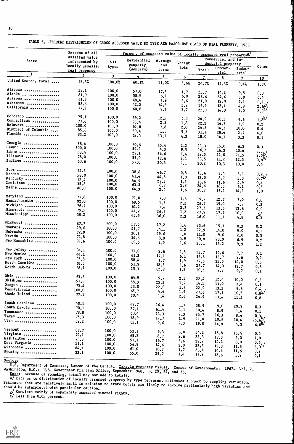|                                               | Percent of all   | Percent of assessed value of locally assessed real property <sup>a/</sup> |             |                         |                |                    |              |              |                                       |
|-----------------------------------------------|------------------|---------------------------------------------------------------------------|-------------|-------------------------|----------------|--------------------|--------------|--------------|---------------------------------------|
| <b>State</b>                                  | assessed value   |                                                                           | Residential | Acreage                 |                | Commercial and in- |              |              |                                       |
|                                               | represented by   | A11                                                                       | property    | and                     | Vacant         | dustrial property  |              |              |                                       |
|                                               | locally assessed | types                                                                     | (nonfarm)   | farms                   | lots           | Total              | Commer-      | Indus-       | Other                                 |
| 1                                             | real property    |                                                                           |             |                         |                |                    | cial         | trial        |                                       |
| United States, total                          | $\overline{2}$   | 3 <sup>1</sup>                                                            | 4           | 5 <sub>1</sub>          | $6\phantom{.}$ | $\overline{7}$     | 8            | 9            | 10 <sub>1</sub>                       |
|                                               | 78.3%            | 100.0%                                                                    | 60.17       | 11.07.                  | 2.6%           | 24.77              | 15.3%        | 9.47         | 1.5%                                  |
| Alabama                                       | 58.1             | 100.0                                                                     | 57.0        | 17.3                    | 1.7            | 23.7               | 14.2         | 9.5          | 0.3                                   |
| Alaska  messessessesses                       | 81.9             | 100.0                                                                     | 58.9        | 6.1                     | 6.0            | 28.6               | 24.6         | 3.9          | 0,4                                   |
| Arizona                                       | 61.3             | 100.0                                                                     | 68,4        | 6.9                     | 3.6            | 21.0               | 12.0         | 9.1          |                                       |
| Arkansas                                      | 58.6             | 100.0                                                                     | 42.5        | 34.8                    | 3.2            | 16.9               | 12.1         | 4.9          |                                       |
| California ***************                    | 77.2             | 100.0                                                                     | 60.8        | 9.6                     | 3.7            | 23.0               | 14.0         | 9.0          | $\frac{0.1}{2.6}$<br>$\frac{1}{2.9}$  |
| Cohorado                                      | 75.1             | 100.0                                                                     | 59.2        | 12.5                    |                |                    |              |              |                                       |
| Connecticut                                   | 77.6             | 100.0                                                                     | 73,4        |                         | 1.3            | 24.9               | 18.3         | 6.6          | $1,8^{b}$                             |
| Delaware                                      | 100.0            | 100, 0                                                                    | 65, 6       | 2,5                     | 1.8            | 22.2               | 14.3         | 7.9          | 0.2                                   |
| District of Columbia                          | 85.6             | 100.0                                                                     |             | 7.8                     | 2,0            | 24.3               | 14.3         | 10,0         | 0.4                                   |
| Florida ,                                     | 83.2             |                                                                           | 59.6        | $\bullet\bullet\bullet$ | 5.3            | 31.1               | 28.4         | 2.7          | 4.0                                   |
|                                               |                  | 100,0                                                                     | 62.4        | 13.1                    | 6.3            | 18.0               | 14.7         | 3.3          | 0,1                                   |
| Georgia                                       | 58.4             | 100.0                                                                     | 60, 6       | 15.6                    | 2.2            | 21.3               | 15.0         |              |                                       |
| Hawaii                                        | 100.0            | 100.0                                                                     | 59.5        | 4,3                     | 9,5            | 26.7               | 1.6.3        | 6.3          | 0.3                                   |
| Idaho                                         | 58.4             | 100.0                                                                     | 29.1        | 34.6                    | 1.4            | 32.5               |              | 10.4         |                                       |
| Illinois                                      | 78.0             | 100,0                                                                     | 55.9        | 17.6                    | 2,1            |                    | 11.0         | 21.5         | $\frac{2.5b}{0.85}$                   |
| Indiana                                       | 60.6             | 100.0                                                                     | 57.0        | 20.3                    | 2,1            | 23.5<br>20.2       | 11.2<br>10.3 | 12.3<br>10.0 | 0.4                                   |
| Iowa                                          | 75.3             |                                                                           |             |                         |                |                    |              |              |                                       |
| Kansas                                        |                  | 100.0                                                                     | 38.8        | 46.7                    | 0.8            | 13.6               | 8.4          | 5.1          |                                       |
| Kentucky                                      | 58.0             | 100.0                                                                     | 41.4        | 44.8                    | 1,0            | 12.0               | 8.7          | 3.3          | $\frac{0.2}{0.7}b$                    |
| Louisiana                                     | 72.4             | 100.0                                                                     | 54.5        | 27.3                    | 1,2            | 16.6               | 11.6         | 4.9          | 0,4                                   |
|                                               | 35.8             | 100.0                                                                     | 63.5        | 8,7                     | 2.8            | 24.6               | 18.5         | 6,1          | 0.5                                   |
| Maine                                         | 80.0             | 100.0                                                                     | 64.3        | 2,4                     | 1.6            | 30.7               | 16.4         | 14.2         | 1,0                                   |
| Maryland                                      | 77.8             | 100.0                                                                     | 71.0        | 7.0                     | 1.6            | 19.7               |              |              |                                       |
| Massachusetts                                 | 92.0             | 100.0                                                                     | 69.5        | 1.3                     | 2,3            |                    | 12.7         | 7.0          | 0.8                                   |
| Michigan                                      | 76.7             | 100.0                                                                     | 61.2        | 7.4                     |                | 26.7               | 19.0         | 7.7          | 0.3                                   |
| Minnesota                                     | 79.5             | 100.0                                                                     | 44.2        |                         | 3.3            | 27.3               | 13.6         | 13.6         | 0, 9                                  |
| Mississippi                                   | 38.2             | 100.0                                                                     | 45.5        | 26.7<br>36.0            | 1,2<br>2.3     | 27.9<br>16.0       | 17.9<br>11.1 | 10,0         | $\mathbf{S}'$                         |
| Missouri                                      |                  |                                                                           |             |                         |                |                    |              | 4.8          | 0.3                                   |
| Montana                                       | 67.7             | 100.0                                                                     | 57.5        | 17.2                    | 1.6            | 23.6               | 15.3         | 8.3          | 0.2                                   |
|                                               | 49.6             | 100.0                                                                     | 41.7        | 34.1                    | 1,2            | 22.9               | 14.0         | 9.0          | 0.1                                   |
| Nebraska<br>Nevada                            | 72.9             | 100.0                                                                     | 38.1        | 49.6                    | 1,0            | 11.0               | 9.0          | 2.0          | 0.3                                   |
|                                               | 72.8             | 100.0                                                                     | 54.6        | 8,8                     | 4.9            | 30.8               | 23.9         | 6, 9         |                                       |
| New Hampshire                                 | 92.6             | 100.0                                                                     | 69.6        | 2.5                     | 1.6            | 25.1               | 15.2         | 9,9          | 0, 9<br>1,2                           |
| New Jersey                                    | 94.1             | 100.0                                                                     | 71.0        |                         |                |                    |              |              |                                       |
| New Mexico                                    | 44.1             | 100.0                                                                     | 61.3        | 2,6                     | 2.5            | 23.7               | 14.6         | 9.2          | 0, 1                                  |
| New York                                      | 95.8             | 100.0                                                                     | 58.4        | 17.1                    | 6.1            | 15.3               | 12.7         | 2.6          | 0, 2                                  |
| North Carolina                                | 68.5             | 100.0                                                                     |             | 1.7                     | 1.9            | 37.5               | 23.5         | 14.0         | 0.5                                   |
| North Dakota                                  | 68.1             | 100.0                                                                     | 51.9        | 18.5                    | 2,6            | 26.7               | 14.0         | 12.7         | 0.3                                   |
|                                               |                  |                                                                           | 25.3        | 62.9                    | 1,2            | 10.3               | 9,8          | 0.7          | 0.1                                   |
| Ohio                                          | 63.6             | 100.0                                                                     | 64.9        | 9.7                     | 2.5            | 22.4               | 12.4         | 10.0         | 0, 5                                  |
| Oklahoma                                      | 57.0             | 100, 0                                                                    | 58.3        | 25.5                    | 1,7            | 14.5               | 11.0         | 3,4          | 0,1                                   |
| Oregon                                        | 75,4             | 100.0                                                                     | 53.0        | 22.0                    | 1,7            | 22.9               | 13.3         | 9.6          |                                       |
| Pennsylvania                                  | 100,0            | 100.0                                                                     | 65.7        | 4,4                     | 1.5            | 27.6               | 17.5         |              | $\frac{0.4}{0.8}$                     |
| Rhode Island                                  | 77.1             | 100, 0                                                                    | 70.4        | 1,4                     | 2.6            | 24.9               | 13.4         | 10.2<br>11.5 | 0,8                                   |
| South Carolina                                | 40.1             | 100.0                                                                     | 42.7        |                         |                |                    |              |              |                                       |
| South Dakota                                  | 70.1             | 100.0                                                                     |             | 16.4                    | 1,7            | 38.9               | 9.0          | 29.9         | 0.3                                   |
| Tennessee                                     | 78.8             |                                                                           | 27.1        | 61.4                    | 1,1            | 10,4               | 8.9          | 1,4          | 0.1                                   |
| Texas                                         |                  | 100.0                                                                     | 60.4        | 12.3                    | 2.3            | 24.7               | 16.3         | 8,4          |                                       |
| Utah                                          | 75.3<br>52.2     | 100.0<br>100.0                                                            | 38.9        | 12.7                    | 1,9            | 21.0               | 10.6         | 10.4         | $\frac{0.3}{25.6}$<br>$\frac{6}{6.0}$ |
|                                               |                  |                                                                           | 63.1        | 9,6                     | 2.3            | 19.0               | 14.8         | 4.3          |                                       |
| Vermont                                       | 87.7             | 100.0                                                                     | 53.1        | 9.3                     | 3,0            | 34.2               | 18.8         | 15.4         | 0,4                                   |
| Virginia                                      | 74.1             | 100.0                                                                     | 65.3        | 8.7                     | 2,6            | 22.3               | 17.3         | 5.0          |                                       |
| Washington                                    | 75.3             | 100.0                                                                     | 57.1        | 16.7                    | 3.6            | 22.2               | 14.1         |              | 1,0                                   |
|                                               |                  |                                                                           |             |                         |                |                    |              | 8,0          |                                       |
|                                               | 51.1             | 100,0                                                                     | 56.9        |                         |                |                    |              |              |                                       |
| West Virginia<br><b>Wisconsin </b><br>Wyoming | 84.1             | 100.0                                                                     | 61.0        | 14.6<br>10.7            | 2,0<br>1,7     | 23.5<br>26.4       | 12.3<br>14.8 | 11.3<br>11.6 | $\frac{0.5}{3.0}b$<br>0,2             |

TABLE 6.--PERCENT DISTRIBUTION OF GROSS ASSESSED VALUE BY TYPE AND MAJOR-USE CLASS OF REAL PROPERTY, 1966

 $\cdot$   $\pm$ 

U.S. Department of Commerce, Bureau of the Census. Taxable Property Values. Census of Governments: 1967. Vol. 2.<br>Washington, D.C.: U.S. Government Printing Office, September 1968. p. 29, 35, and 36.

Note: Because of rounding, detail may not add to totals.<br>a/ Data as to distribution of locally assessed property by type represent estimates subject to sampling variation. Estimates that are relatively small in relation to state totals are likely to involve particularly high variation and<br>should be interpreted with particular caution.

b/ Consists mainly of separately assessed mineral rights.  $\overline{C}$  Less than 0.05 percent.



Source: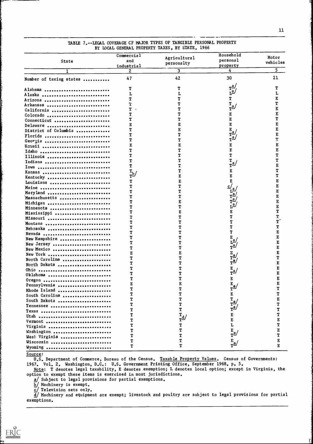|                         | Commercial   |                                           | Household                                                                                                                                          |          |
|-------------------------|--------------|-------------------------------------------|----------------------------------------------------------------------------------------------------------------------------------------------------|----------|
| <b>State</b>            | and          | Agricultural                              | personal                                                                                                                                           | Motor    |
|                         | industrial   | personalty                                | property                                                                                                                                           | vehicles |
|                         | $\mathbf{2}$ | 3                                         | 4                                                                                                                                                  | 5.       |
|                         |              |                                           |                                                                                                                                                    |          |
| Number of taxing states | 47           | 42                                        | 30                                                                                                                                                 | 21       |
|                         |              |                                           | $\mathbf{r}^{\underline{\mathbf{a}}\boldsymbol{\prime}}$                                                                                           |          |
| Alabama                 | т            | т                                         |                                                                                                                                                    |          |
| Alaska                  |              | L                                         | T                                                                                                                                                  |          |
| Arizona                 |              | т                                         |                                                                                                                                                    |          |
| Arkansas                |              |                                           | $\frac{r}{r^2}$                                                                                                                                    | E        |
| California              |              |                                           |                                                                                                                                                    | E        |
| Colorado                |              |                                           | E                                                                                                                                                  | Τ        |
| Connecticut             |              |                                           | E                                                                                                                                                  |          |
| Delaware                |              |                                           | E                                                                                                                                                  | E        |
| District of Columbia    |              | E                                         | $E_{\perp}$<br>$\overline{r}^{\underline{a}}$                                                                                                      | E        |
| Florida                 |              | T                                         |                                                                                                                                                    | E        |
| Georgia                 | Т            | T                                         | r <sup>a</sup>                                                                                                                                     | Ţ        |
| Hewaii                  | E            | E                                         | E                                                                                                                                                  | E        |
| Idaho                   |              | Т                                         | E                                                                                                                                                  | Е        |
| Illinois                |              |                                           | T                                                                                                                                                  | т        |
| Indiana                 |              |                                           | $\int_{\mathbf{T}}^{\mathbf{T}} d\mu$                                                                                                              | T        |
| Iowa                    |              |                                           |                                                                                                                                                    | E        |
| Kansas                  |              |                                           | Е                                                                                                                                                  | Т        |
| Kentucky                |              |                                           |                                                                                                                                                    |          |
| Louisiana               |              | E                                         |                                                                                                                                                    |          |
| Maine                   |              | ͳ                                         |                                                                                                                                                    |          |
| Maryland                |              | ͳ                                         |                                                                                                                                                    | E        |
| Massachusetts           |              |                                           | $\begin{array}{c}\n\underline{c}\prime_{\underline{a}}\\ L^{\underline{a}}\\ T^{\underline{a}}\\ T^{\underline{a}}\\ L^{\underline{a}}\end{array}$ | E        |
|                         |              |                                           |                                                                                                                                                    | E        |
| Michigan                |              |                                           |                                                                                                                                                    | E        |
| Minnesota               |              |                                           |                                                                                                                                                    | т        |
| Mississippi             |              |                                           |                                                                                                                                                    |          |
| Missouri                |              |                                           |                                                                                                                                                    |          |
| Montana                 |              |                                           |                                                                                                                                                    |          |
| Nebraska                |              |                                           |                                                                                                                                                    |          |
| Nevada                  |              |                                           |                                                                                                                                                    |          |
| New Hampshire           |              |                                           | $\bar{L}^{\underline{a}}$                                                                                                                          |          |
| New Jersey              |              | т                                         | $\mathbf{r}^{\underline{a}}$                                                                                                                       | E<br>E   |
| New Mexico              |              | т                                         |                                                                                                                                                    |          |
| New York                |              | E                                         | $\frac{E}{T}$ a/ $\frac{a}{T}$                                                                                                                     | E        |
| North Carolina          |              |                                           |                                                                                                                                                    | т        |
| North Dakota            |              |                                           |                                                                                                                                                    | E        |
| Ohio                    |              |                                           | $\frac{E}{T}a$                                                                                                                                     | E        |
| Oklahoma                |              |                                           |                                                                                                                                                    | E        |
| Oregon                  |              |                                           | E                                                                                                                                                  |          |
| Pennsylvania            |              | E                                         | $\frac{E}{T}a$                                                                                                                                     |          |
| Rhode Island            |              | т                                         |                                                                                                                                                    | T        |
| South Carolina          |              | Τ                                         | E                                                                                                                                                  | T        |
| South Dakota            |              | T                                         | $\frac{r_a}{r_a}$                                                                                                                                  |          |
| Tennessee               |              | T                                         |                                                                                                                                                    | T        |
| Texas                   | т            | T                                         | $\mathtt{T}^{\underline{\mathrm{a}}\boldsymbol{\mathcal{J}}}$                                                                                      | Τ        |
| Utah                    | т            | Υ,                                        | E                                                                                                                                                  | T        |
|                         |              | $\mathbf{r}^{\underline{\text{d}}\prime}$ | E                                                                                                                                                  | E        |
| Vermont                 |              | Τ                                         | L                                                                                                                                                  | Ţ        |
| Virginia                |              | т                                         |                                                                                                                                                    | E        |
| Washington              | Υ            | т                                         | $\frac{E}{T}$ a/                                                                                                                                   | т        |
| West Virginia           | T            |                                           |                                                                                                                                                    | E        |
| Wisconsin               |              | т                                         | $\frac{E}{T}a$                                                                                                                                     | E        |
| Wyoming                 | T            |                                           |                                                                                                                                                    |          |

# TABLE 7.--LEGAL COVERAGE CF MAJOR TYPES OF TANGIBLE PERSONAL PROPERTY BY LOCAL GENERAL PROPERTY TAXES, BY STATE, 1966

Source:

U.S. Department of Commerce, Bureau of the Census. Taxable Property Values. Census of Governments: 1967. Vol. 2. Washington, D.C.: U.S. Government Printing Office, September 1968. p. 5.

Note: T denotes legal taxability, E denotes exemption; L denotes local option; except in Virginia, the tion to exempt these items is exercised in most jurisdictions.

a/ Subject to legal provisions for partial exemptions.

b/ Machinery is exempt.

 ${\tt c}/$  Television sets only.

J Machinery and equipment are exempt; livestock and poultry are subject to legal provisions for partial exemptions.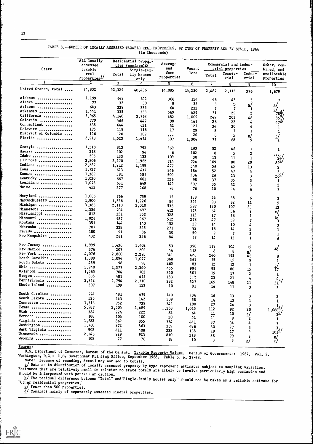|                      | All locally              |        | Residential proper-          |                         |                |               |                       |                  |                         |
|----------------------|--------------------------|--------|------------------------------|-------------------------|----------------|---------------|-----------------------|------------------|-------------------------|
|                      | assessed                 |        | ties (nonfarm) <sup>D/</sup> | Acreage                 |                |               | Commercial and indus- | Other, com-      |                         |
| <b>State</b>         | taxable                  |        | Single-fam-                  | and                     | Vacant         |               | trial properties      |                  | bined, and              |
|                      | real                     | Total  | ily houses                   | farm                    | lots           | Total         | Commer-               | Indus-           | unallocable             |
|                      | properties <sup>3/</sup> |        | only                         | properties              |                |               | cial                  | trial            | properties              |
|                      | 2                        | 3      | 4                            | 5                       | 6              | 7             | 8                     | 9                | 10                      |
| United States, total | 74,832                   | 42,329 | 40,436                       | 14,085                  | 14,250         | 2,487         | 2,112                 | 376              | 1,679                   |
| Alabama              | 1,199                    | 648    | 642                          | 364                     | 134            | 46            | 43                    | 2                |                         |
| Alaska               | 77                       | 32     | 30                           | 8                       | 33             | 3             | 3                     | <u>c/</u>        |                         |
| Arizona              | 643                      | 339    | 335                          | 64                      | 233            |               | 7                     | 1                | ∕اءِ<br>/ء              |
| Arkansas             | 1,441                    | 335    | 333                          | 569                     | 429            | 31            | 29                    | $\mathbf{2}$     | $78\frac{d}{4}$         |
| California           | 5,965                    | 4,140  | 3,768                        | 482                     | 1,009          | 249           | 201                   | 48               |                         |
| Colorado ,           | 779                      | 466    | 447                          | 98                      | 141            | 26            | 22                    |                  |                         |
| Connecticut          | 838                      | 644    | 631                          | 32                      | 127            |               |                       | 4                |                         |
| Delaware             | 175                      | 119    | 116                          | 17                      |                | 34            | 30                    | 4                |                         |
| District of Columbia | 146                      | 120    | 109                          |                         | 29             | 8             | 7                     |                  |                         |
| Florida              | 2,913                    | 1,523  |                              | $\bullet\bullet\bullet$ | 20             | 6             | 5                     | <u>ی</u>         | <u>c/</u>               |
|                      |                          |        | 1,475                        | 307                     | 1,004          | 77            | 68                    | 9                | 3                       |
| Georgia              | 1,318                    | 813    | 793                          | 269                     | 133            | 52            | 46                    | 7                | 1                       |
| Hawaii               | 218                      | 102    | 94                           | 6                       | 102            | 8             | 5                     | 2                |                         |
| Idaho                | 295                      | 133    | 133                          | 109                     | 38             | 13            |                       |                  |                         |
| Illinois             | 3,806                    | 2,170  | 1,962                        | 714                     | 724            | 109           | 11                    | 1                | $\frac{2d}{89d}$        |
| Indiana              | 2,287                    | 1,212  | 1,199                        | 477                     |                |               | 80                    | 29               |                         |
| Iowa                 | 1,727                    | 643    | 637                          |                         | 540            | 56            | 42                    | 13               | $\overline{\mathbf{c}}$ |
| Kansas               | 1,389                    | 591    |                              | 846                     | 184            | 52            | 47                    | 4                | $\frac{3}{25}$          |
| Kentucky             | 1,030                    |        | 586                          | 509                     | 236            | 26            | 23                    | 3                |                         |
| Louisiana            |                          | 667    | 661                          | 226                     | 98             | 37            | 35                    | 3                | 1                       |
|                      | 1,073                    | 681    | 649                          | 149                     | 207            | 35            | 32                    | 3                | $\overline{2}$          |
| Maine                | 453                      | 277    | 268                          | 78                      | 76             | 20            | 14                    | 6                | 3                       |
| Maryland             | 1,066                    | 766    | 759                          | 75                      | 1/8            |               |                       |                  |                         |
| Massachusetts        | 1,900                    | 1,326  | 1,226                        | 84                      | 391            | 44            | 38                    | 6                | 3                       |
| Michigan             | 3,386                    | 2,110  | 2,010                        |                         |                | 93            | 82                    | 11               | 5                       |
| Minnesota            | 1,354                    | 704    | 697                          | 536                     | 597            | 130           | 107                   | 23               | 13                      |
| Mississippi          | 812                      | 351    |                              | 412                     | 173            | 64            | 56                    | 9                | /ء<br>/⊇                |
| Missouri             | 1,826                    |        | 350                          | 328                     | 115            | 17            | 16                    |                  |                         |
| Montana              |                          | 987    | 967                          | 512                     | 278            | 47            | 39                    | 7                | 3                       |
|                      | 351                      | 144    | 140                          | 152                     | 39             | 14            | 10                    | 4                | 3                       |
| Nebraska             | 707                      | 328    | 325                          | 271                     | 92             | 16            | 14                    | 2                |                         |
| Nevada               | 180                      | 91     | 86                           | 30                      | 50             | 9             | 7                     | 2                |                         |
| New Hampshire        | 432                      | 261    | 256                          | 84                      | 67             | 14            | 13                    | $\mathbf{1}$     |                         |
| New Jersey           | 1,999                    | 1,436  | 1,402                        | 53                      | 390            | 119           | 104                   |                  |                         |
| New Mexico           | 376                      | 203    | 202                          | 46                      | 118            | 8             |                       | 15               | <u>୍</u>                |
| New York             | 4,076                    | 2,860  | 2,295                        | 341                     | 626            |               | 8                     | <u>c/</u>        | $\mathbf{1}$            |
| North Carolina       | 1,899                    | 1,094  | 1,077                        | 368                     | 361            | 240           | 195                   | 46               |                         |
| North Dakota         | 459                      | 98     | 98                           | 265                     |                | 75            | 65                    | 9                |                         |
| 0hio                 | 3,940                    | 2,377  | 2,340                        |                         | 83             | 12            | 12                    | 1                | $\frac{c}{17}$          |
| 0klahoma             | 1,565                    | 704    |                              | 455                     | 996            | 95            | 80                    | 15               |                         |
| 0regon               | 835                      | 481    | 702                          | 340                     | 501            | 19            | 17                    | $\boldsymbol{2}$ | $\mathbf{1}$            |
| Pennsylvania         |                          |        | 475                          | 183                     | $\mathbb{Z}^2$ | 25            | 21                    | 4                |                         |
|                      | 3,822                    | 2,794  | 2,710                        | 282                     | 527            | 169           | 148                   | 21               | $\frac{4}{51}$          |
| Rhode Island         | 307                      | 199    | 153                          | 10                      | 81             | 14            | 11                    | 3                | $\mathbf{3}$            |
| South Carolina       | 774                      | 481    | 479                          | 140                     | 136            |               |                       |                  |                         |
| South Dakota         | 525                      | 143    | 142                          | 309                     |                | 16            | 13                    | 3                |                         |
| Tennessee            | 1,313                    | 752    | 739                          |                         | 58             | 14            | 13                    | 1                |                         |
| Texas                | 5,987                    |        |                              | 342                     | 190            | 27            | 24                    | 3                |                         |
|                      |                          | 2,504  | 2,489                        | 1,268                   | 1,015          | 112           | 92                    | 20               | $1,088\frac{0}{2}$      |
| Utah                 | 384                      | 224    | 222                          | 82                      | 64             | $\mathbf{11}$ | 10                    | <u>c/</u>        |                         |
| Vermont              | 188                      | 104    | 100                          | 30                      | 41             | 11            | 9                     | $\mathbf{2}$     |                         |
| Virginia             | 1,682                    | 862    | 855                          | 334                     | 441            | 37            | 34                    | 4                |                         |
| Washington           | 1,760                    | 872    | 863                          | 369                     | 486            | 30            | 27                    | $\mathbf{3}$     |                         |
| West Virginia        | 902                      | 411    | 408                          | 233                     | 138            | 19            | 17                    | $\cdot$          | $101^{3}$               |
| Wisconsin            | 2,146                    | 929    | 923                          | 810                     | 318            | 88            | 79                    |                  |                         |
| Wyoming              | 108                      | 77     | 76                           | 18                      | 10             | 3             |                       | S                | ∕اءِ<br>∕ا              |
|                      |                          |        |                              |                         |                |               | 3                     | <u>c/</u>        |                         |

TABLE 8.--NUMBER OF LOCALLY ASSESSED TAXABLE REAL PROPERTIES, BY TYPE OF PROPERTY AND BY STATE, 1966 (in thousands)

Source:

U.S. Department of Commerce, Bureau of the Census. Taxable Property Values. Census of Governments: 1967. Vol. 2.<br>Washington, D.C.: U.S. Government Printing Office, September 1968. Table 6, p. 37-38.

Note: Because of rounding, detail may not add to totals.<br>a/Data as to distribution of locally assessed property by type represent estimates subject to sampling variation. Estimates that are relatively small in relation to state totals are likely to involve particularly high variation and<br>should be interpreted with particular caution.

The residual difference between "Total" and"Single-family houses only" should not be taken as a reliable estimate for<br>"Other residential properties."

C/ Fewer than 500 properties.

Consists mainly of separately assessed mineral properties.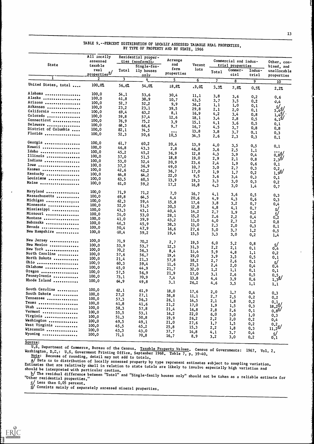| <b>State</b>             | All iocally<br>assessed<br>taxable | Residential proper-<br>ties (nonfarm) _<br>Single-fam- |                    | Acreage<br>and                        | Vacant       | Commercial and indus-<br>trial properties |                 |                           | Other, com-<br>bined, and                                                         |
|--------------------------|------------------------------------|--------------------------------------------------------|--------------------|---------------------------------------|--------------|-------------------------------------------|-----------------|---------------------------|-----------------------------------------------------------------------------------|
|                          | real<br>properties <sup>a/</sup>   | Total<br>ily houses<br>only                            | farm<br>properties | lots                                  | Total        | Commer-<br>cial                           | Indus-<br>trial | unallocable<br>properties |                                                                                   |
|                          | $\mathbf{2}$                       | $\boldsymbol{\beta}$                                   | $\frac{4}{1}$      | $\overline{\mathsf{S}}$               | 6            | $\overline{7}$                            | 8               | 9                         |                                                                                   |
| United States, total     | 100.07                             | 56.6%                                                  | 54.0%              | 18.87                                 | 19.0%        | 3.3%                                      | 2.8%            | 0.5%                      | 10<br>2.27                                                                        |
| Alabama                  | 100.0                              | 54.1                                                   | 53.6               | 30.4                                  | 11.1         | 3,8                                       |                 |                           |                                                                                   |
| Alaska                   | 100.0                              | 41.8                                                   | 38.9               | 10.7                                  | 43.5         | 3.7                                       | 3,6             | 0,2                       | 0.6                                                                               |
| Arizona                  | 100.0                              | 52.7                                                   | 52.2               | 9,9                                   | 36.2         | 1,1                                       | 3.5             | 0.2                       | 0.4                                                                               |
| Arkansas                 | 100, 0                             | 23.2                                                   | 23.1               | 39.5                                  | 29.8         | 2.1                                       | 1,0             | 0.1                       |                                                                                   |
| California               | 100.0                              | 69.4                                                   | 63.2               | 8.1                                   | 16.9         | 4.2                                       | 2.0             | 0.1                       |                                                                                   |
| Colorado                 | 100.0                              | 59.8                                                   | 57.4               | 12.6                                  | 18.1         | 3,4                                       | 3,4             | 0.8                       | $5.4d/$<br>$1.4d/$<br>$6.1d/$                                                     |
| Connecticut              | 100.0                              | 76.9                                                   | 75.2               | 3.9                                   | 15.1         | 4.1                                       | 2.8             | 0.5                       |                                                                                   |
| Delaware                 | 100.0                              | 68.3                                                   | 66.6               | 9.7                                   | 16.7         |                                           | 3.6             | 0.5                       | 0,1                                                                               |
| District of Columbia     | 100,0                              | 82,1                                                   | 74.5               |                                       | 13.8         | 4.5                                       | 3.7             | 0,8                       | 0, 8                                                                              |
| Florida                  | 100.0                              | 52.3                                                   | 50.6               | $\bullet$ $\bullet$ $\bullet$<br>10.5 | 34.5         | 3.8                                       | 3.7             | 0.1                       | 0.3                                                                               |
|                          |                                    |                                                        |                    |                                       |              | 2.6                                       | 2.3             | 0.3                       | 0.1                                                                               |
| Georgia                  | 100.0                              | 61.7                                                   | 60.2               | 20.4                                  | 13.9         | 4.0                                       | 3,5             | 0.5                       | 0.1                                                                               |
| Hawaii                   | 100.0                              | 46.8                                                   | 43.3               | 2.8                                   | 46.8         | 3.6                                       | 2.5             | 1,1                       |                                                                                   |
| Idaho                    | 100.0                              | 45.2                                                   | 45.2               | 36.9                                  | 12.8         | 4.3                                       | 3.9             | 0,4                       | $\frac{1}{0.8d}$<br>2.3 <sup>d</sup>                                              |
| Illinois                 | 100.0                              | 57.0                                                   | 51.5               | 18.8                                  | 19.0         | 2.9                                       | 2,1             |                           |                                                                                   |
| Indiana                  | 100.0                              | 53.0                                                   | 52.4               | 20.9                                  | 23.6         | 2,4                                       | 1.9             | 0,8                       |                                                                                   |
| Iowa                     | 100.0                              | 37.2                                                   | 36.9               | 49.0                                  | 10.7         | 3.0                                       | 2.7             | 0,6                       | 0.1                                                                               |
| Kansas                   | 100.0                              | 42.6                                                   | 42.2               | 36.7                                  | 17.0         | 1.9                                       |                 | 0.3                       | $\frac{0.2}{1.9}$                                                                 |
| Kentucky                 | 100.0                              | 64.8                                                   | 64.2               | 22.0                                  | 9.5          |                                           | 1,7             | 0,2                       |                                                                                   |
| Louisiana                | 100.0                              | 63.5                                                   | 60.5               | 13.9                                  | 19.3         | 3.6                                       | 3.4             | 0.3                       | 0.1                                                                               |
| Maine                    | 100.0                              | 61.0                                                   | 59.2               | 17.2                                  | 16.8         | 3.3<br>4.3                                | 3,0<br>3.0      | 0.3<br>1,4                | 0.2                                                                               |
| Maryland                 | 100.0                              |                                                        |                    |                                       |              |                                           |                 |                           | 0.7                                                                               |
| Massachusetts            | 100.0                              | 71.9                                                   | 71.2               | 7.9                                   | 16.7         | 4.1                                       | 3,6             | 0, 5                      | 0.3                                                                               |
| Michigan                 | 100.0                              | 69.8                                                   | 64.5               | 4.4                                   | 20.6         | 4.9                                       | 4.3             | 0, 6                      | 0.3                                                                               |
|                          |                                    | 62.3                                                   | 59.4               | 15.8                                  | 17.6         | 3.8                                       | 3,2             | 0.7                       | 0,4                                                                               |
| Minnesota                | 100.0                              | 52.0                                                   | 51.5               | 30.5                                  | 12.8         | 4.8                                       | 4,1             | 0.7                       |                                                                                   |
| Mississippi              | 100.0                              | 43.3                                                   | 43.1               | 40.4                                  | 14.2         | 2.7                                       | 1.9             | 0,2                       | راء<br>ري<br>0.2                                                                  |
| Missouri                 | 100.0                              | 54.0                                                   | 53.0               | 28.1                                  | 15.2         | 2.6                                       | 2,2             | 0,4                       |                                                                                   |
| Montana                  | 100.0                              | 41.0                                                   | 39.9               | 43.2                                  | 11.0         | 4.0                                       | 2,7             | 1,2                       | 0.8                                                                               |
| Nebraska                 | 100.0                              | 46.3                                                   | 45.9               | 38.3                                  | 13.0         | 2.3                                       | 2,0             | 0, 3                      | 0.1                                                                               |
| Nevada                   | 100.0                              | 50.4                                                   | 47.9               | 16,6                                  | 27.6         | 5.0                                       | 3.7             | 1,2                       | 0.5                                                                               |
| New Hampshire            | 100.0                              | 50.4                                                   | 59.2               | 19.4                                  | 15.5         | 3,3                                       | 3.0             | 0.2                       | 1.4                                                                               |
| New Jersey               | 100.0                              | 71.9                                                   | 70.2               | 2.7                                   |              |                                           |                 |                           |                                                                                   |
| New Mexico               | 100,0                              | 53.9                                                   | 53.7               | 12.3                                  | 19.5         | 6.0                                       | 5.2             | 0, 8                      | $\frac{c}{c}$                                                                     |
| New York                 | 100, 0                             | 70.2                                                   | 56.3               | 8,4                                   | 31.3         | 2,2                                       | 2,1             | 0.1                       |                                                                                   |
| North Carolina           | 100,0                              | 57.6                                                   | 56.7               | 19,4                                  | 15.4         | 5.9                                       | 4.8             | 1,1                       | 0.2                                                                               |
| North Dakota             | 100,0                              | 21.4                                                   | 21.3               | 57.8                                  | 19.0         | 3.9                                       | 3.5             | 0.5                       | 0.1                                                                               |
| Ohio                     | 100, 9                             | 60.3                                                   | 59.4               | 11.6                                  | 18.2         | 2,7                                       | 2.6             | 0.1                       | <u>ی</u>                                                                          |
| 0klahoma                 | 100.0                              | 45.0                                                   | 44.9               |                                       | 25.3         | 2,4                                       | 2,0             | 0,4                       | 0.4                                                                               |
| Oregon                   | 100.0                              | 57.5                                                   | 56.9               | 21.7                                  | 32.0         | 1,2                                       | 1,1             | 0,1                       | 0,1                                                                               |
| Pennsylvania             | 100, 0                             | 73.1                                                   | 70.9               | 21,9                                  | 17.0         | 3,1                                       | 2,6             | 0.5                       |                                                                                   |
| Rhode Island             | 100,0                              | 64.9                                                   | 49.8               | 7,4<br>3.1                            | 13.8<br>26.2 | 4.4                                       | 3.9             | 0.6                       | $0.5$ <sub>1.3</sub> $\frac{1}{2}$                                                |
|                          |                                    |                                                        |                    |                                       |              | 4.6                                       | 3.5             | 1,1                       | 1,1                                                                               |
| South Carolina           | 100.0                              | 62.1                                                   | 61.9               | 18.0                                  | 17.6         | 2.0                                       | 1.7             | 0,4                       | 0, 3                                                                              |
| South Dakota             | 100.0                              | 27.2                                                   | 27.1               | 58.8                                  | 11.1         | 2.7                                       | 2.5             | 0.2                       | 0.2                                                                               |
| Tennessee                | 100.0                              | 57.3                                                   | 56.3               | 26.1                                  | 14.5         | 2.1                                       | 1,8             | 0.2                       |                                                                                   |
| Texas                    | 100.0                              | 41,8                                                   | 41.6               | 21.2                                  | 17.0         | 1,9                                       | 1,5             | 0.3                       | $\begin{array}{c} 0.1 \\ 18.2 \frac{\mathrm{d}}{\mathrm{0.8}} \\ 0.8 \end{array}$ |
| Utah                     | 100.0                              | 58.3                                                   | 57.8               | 21.4                                  | 16.8         | 2,8                                       | 2.6             |                           |                                                                                   |
| Vermont                  | 100,0                              | 55.5                                                   | 53.1               | 16.2                                  | 22.0         | 6.0                                       | 5.0             | 0.1                       |                                                                                   |
| Virginia                 | 100.0                              | 51.3                                                   | 50,8               | 19.9                                  | 26.2         | 2,2                                       |                 | 1.0                       | 0.3                                                                               |
| Washington               | 100.0                              | 49.5                                                   | 49.1               | 21.0                                  | 27.6         | 1,7                                       | 2.0             | 0,2                       | 0,4                                                                               |
| West Virginia            | 100.0                              | 45.5                                                   | 45.2               | 25.8                                  | 15.3         | 2, 2                                      | 1,5             | 0,2                       | $\frac{0.2}{11.2}d/$                                                              |
| Wisconsin                | 100.0                              | 43.3                                                   | 43.0               | 37.7                                  | 14.8         | 4.1                                       | 1.8             | 0.3                       |                                                                                   |
| Wyoming                  | 100,0                              | 71.1                                                   | 70.8               | 16.7                                  | 8.9          | 3,2                                       | 3,7             | 0,4                       | ∕⊴                                                                                |
| $\overline{\phantom{a}}$ |                                    |                                                        |                    |                                       |              |                                           | 3.0             | 0.2                       | 0.1                                                                               |

# TABLE 9.--PERCENT DISTRIBUTION OF LOCALLY ASSESSED TAXABLE REAL PROPERTIES, BY TYPE OF PROPERTY AND BY STATE, 1966

ERIC

Washington, D.C.: U.S. Government Printing Office, September 1968. Table 7, p. 39-40.<br>Note: Because of rounding, detail may not add to totals. U.S. Department of Commerce, Bureau of the Census. Taxable Property Values. Census of Governments: 1967. Vol. 2.

a/ Data as to distribution of locally assessed property by type represent estimates subject to sampling variation. Estimates that are relatively small in relation to state totals are likely to involve consectable to sampling variation.

aboralists that are relatively small in relation to state totals are likely to involve especially high variation and<br>should be interpreted with particular caution. should be interpreted with particular caution.<br>
b/ The residual difference between "Total" and "Other residential properties."

"Single-family houses only" should not be taken as a reliable estimate for

c/ Less than 0.05 percent.

di Consists mainly of separately assessed mineral properties.

Source: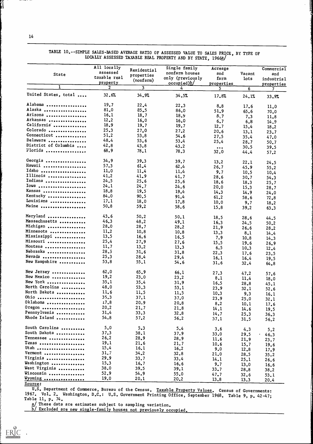14

|                      | All locally    | Residential             | Single family    | Acreage                 |        | Commercial          |
|----------------------|----------------|-------------------------|------------------|-------------------------|--------|---------------------|
| <b>State</b>         | assessed       | properties              | nonfarm houses   | and                     | Vacant | and                 |
|                      | taxable real   | (nonform)               | only (previously | farm                    | lots   | industrial          |
|                      | property       |                         | occupied)        | properties              |        | properties          |
| 1                    | $\overline{2}$ | $\overline{\mathbf{3}}$ | 4                | 5.                      | 6      | 7 <sup>1</sup>      |
| United States, total | 32.6%          | 34.9%                   | 34.5%            | 17.8%                   | 24.1%  | 33.9%               |
| Alabama              | 19.7           | 22.4                    | 22.3             | 8,8                     | 17.6   | 11.0                |
| Alaska               | 81.0           | 85.5                    | 86.0             | 51.9                    | 65.6   | 70.0                |
| Arizona              | 16.1           | 18.7                    | 18.9             | 8,7                     | 7.3    | 11.8                |
| Arkansas             | 12.2           | 16.0                    | 16.0             | 6.7                     | 6.8    | 14.9                |
| California           | 18.9           | 19.7                    | 19.7             | 12.7                    | 15.4   | 18.2                |
| Colorado             | 25.3           | 27.0                    | 27.2             | 20.6                    | 13.1   |                     |
| Connecticut          | 51,2           | 53.8                    | 54.6             | 27.5                    |        | 23.7                |
| Delaware             | 48.4           | 53.6                    | 53.4             | 25.4                    | 35.4   | 47.0                |
| District of Columbia | 42.8           | 43.8                    | 43.2             |                         | 28.7   | 50.7                |
| Florida              | 68.9           | 78.1                    | 78.3             | $\bullet\bullet\bullet$ | 30.5   | 39.5                |
|                      |                |                         |                  | 32.0                    | 44.4   | 57.2                |
| Georgia              | 34.9           | 39.3                    | 39.7             | 13.2                    | 22.1   | 24.5                |
| Hawaii               | 57.3           | 61,4                    | 62.4             | 26.7                    | 45.9   | 55.2                |
| Idaho                | 11.0           | 11.4                    | 11.4             | 9.7                     | 10.5   | 10.4                |
| Illinois             | 41.2           | 41.9                    | 41.7             | 28.6                    | 30.7   | 54.3                |
| Indiana              | 24.5           | 25.6                    | 25.6             | 18.6                    | 18.3   | 25.7                |
| Iowa                 | 24.1           | 24.7                    | 24.6             | 20.0                    | 15.3   | 28.7                |
| Kansas               | 18.8           | 19.5                    | 19.4             | 14.3                    | 14.9   | 24.0                |
| Kentucky             | 84.0           | 90.5                    | 91.4             | 61.2                    | 58.6   | 72.8                |
| Louisiana            | 17.1           | 18.0                    | 17.8             | 10,0                    | 9.7    | 18.2                |
| Maine                | 50.8           | 59.2                    | 58.6             | 15.8                    | 39.2   | 63.3                |
| Maryland             | 43.6           | 50.2                    | 50.1             | 18.5                    | 28.6   | 44.5                |
| Massachusetts        | 46.3           | 48.2                    | 49.1             | 16.3                    | 24.5   | 50.2                |
| Michigan             | 28.0           | 28.7                    | 28.2             | 21.9                    | 26.6   | 28.2                |
| Minnesota            | 11.2           | 10.8                    | 10.8             | 13.3                    | 8.1    | 14.4                |
| Mississippi          | 13.5           | 16.6                    | 16.5             | 7.9                     | 10.8   | 14.3                |
| Missouri             | 25.4           | 27.9                    | 27.6             | 15.5                    | 19.6   | 26.9                |
| Montana              | 11.7           | 13.2                    | 13.3             | 6.5                     | 10.3   |                     |
| Nebraska             | 28.5           | 31.6                    | 31.8             | 22.3                    | 17.6   | 12.4                |
| Nevada               | 25.3           | 28.4                    | 29.4             | 16.1                    | 16.4   | 23.5                |
| New Hampshire        | 53.8           | 55.1                    | 54.6             | 31.6                    | 32.4   | 19.5<br>64.8        |
|                      | 62.0           |                         |                  |                         |        |                     |
| New Jersey           | 19.2           | 65.9                    | 66.1             | 27.3                    | 47.2   | 57.6                |
| New Mexico           |                | 23.0                    | 23.2             | 8.1                     | 11.4   | 18.0                |
| New York             | 35.1           | 35.4                    | 31.9             | 16.5                    | 28.8   | 45.1                |
| North Carolina       | 48.0           | 53.3                    | 53.1             | 23.9                    | 32.1   | 52.6                |
| North Dakota         | 11.6           | 11.5                    | 11.5             | 10.3                    | 9.3    | 16.1                |
| Ohio                 | 35.3           | 37.1                    | 37.0             | 23.9                    | 25.0   | 32.1                |
| Oklahoma             | 17.8           | 20,9                    | 20.8             | 8,2                     | 10.1   | 17.6                |
| Oregon               | 20.2           | 21.7                    | 21.8             | 14.1                    | 14.6   | 19.5                |
| Pennsylvania         | 31.4           | 33.3                    | 32.8             | 14.7                    | 25.3   | 36.3                |
| Rhode Island         | 54.8           | 57.2                    | 56.2             | 37.1                    | 31.5   | 56.2                |
| South Carolina       | 5.0            | 5.3                     | 5.4              | 3,6                     | 4.3    | 5.2                 |
| South Dakota         | 37.3           | 38.1                    | 37.9             | 33.0                    | 29.5   | $\bullet$ .<br>46.3 |
| Tennessee            | 26.2           | 28.9                    | 28.9             | 11.6                    | 21.9   | 23.7                |
| Texas                | 19.1           | 21.6                    | 21.7             | 10.6                    | 15.7   | 19.6                |
| Utah                 | 15.4           | 16.1                    | 16.2             | 9.0                     | 12.8   | 17.9                |
| Vermont              | 31.7           | 34.2                    | 32.8             | 21.0                    | 28.5   | 35.2                |
| Virginia             | 29.9           | 33.7                    | 33.4             | 14.1                    | 25.1   | 26.6                |
| Washington           | 15.3           | 16.7                    | 16.6             | 9.7                     | 13.0   | 16.6                |
| West Virginia        | 38.0           | 39.5                    | 39.1             | 33.7                    | 28.8   | 38.2                |
| Wisconsin            | 52.9           | 54.9                    | 55.0             | 47.7                    | 32.6   | 53.1                |
| Wyoming              | 19.0           | 20.1                    | 20.2             | 13.8                    | 13.3   | 20.4                |

TABLE 10.--SIMPLE SALES-BASED AVERAGE RATIO OF ASSESSED VALUE TO SALES PRICE, BY TYPE OF LOCALLY ASSESSED TAXABLE REAL PROPERTY AND BY STATE, 1966a/

Source:

U.S. Department of Commerce, Bureau of the Census. Taxable Property Values. Census of Governments: 1967. Vol. 2. Washington, D.C.: U.S. Government Printing Office, September 1968. Table 9, p. 42-47;<br>Table 11, p. 74. Table 11, p. 74.<br>a/ These data are estimates subject to sampling variation.

b/ Excluded are new single-family houses not previously occupied.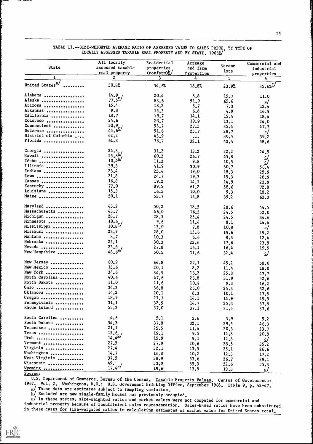|                             | All locally                    | Residential  | Acreage                 |                | Commercial and   |
|-----------------------------|--------------------------------|--------------|-------------------------|----------------|------------------|
| State                       | assessed taxable               | properties   | and farm                | Vacant         | industrial       |
|                             | real property                  | (nonfarm)b/  | properties              | lots           | properties       |
|                             | $\mathbf{2}$                   | $\mathbf{3}$ | 4                       | $\overline{5}$ | 6                |
|                             |                                |              |                         |                |                  |
| United States <sup>C/</sup> | 30.8%                          | 34.6%        | 18.8%                   | 23.9%          | $35.62^{\circ}$  |
|                             |                                |              |                         |                |                  |
| Alabama                     | 14.9                           | 20.4         | 8.8                     | 15.7           | 11.0             |
| Alaska                      | $77.5^{\circ}$                 | 83.6         | 51,9                    | 65.6           | $\mathcal{L}$    |
| Arizona                     | 15.4                           | 18.2         | 8.7                     | 7.3            | 12.4             |
| Arkansas                    | 9.8                            | 15.3         | 6.8                     | 4.9            | 14.9             |
| California                  | 18.7                           | 19.7         | 14.1                    | 15.4           | 18.4             |
| Colorado                    | 24.6                           | 26.7         | 19.9                    | 13.1           | 24.0             |
| Connecticut                 | 50.9,                          | 53.7         | 27.5                    | 35.4           | 47.7             |
| Delaware                    | 45.6 <sup><math>2</math></sup> | 51.6         | 25.7                    | 28.7           | $\mathbf{S}$     |
| District of Columbia        | 42.2                           | 43.9         | $\bullet\bullet\bullet$ | 30.5           | 39.2             |
| Florida                     | 61.3                           | 76.7         | 32.1                    | 43.4           | 58.6             |
|                             | 24.3                           |              |                         |                |                  |
| Georgia                     | $55.8^{C/2}$                   | 31.2         | 13.2                    | 22.2           | 24.5             |
| Hawaii                      | $10.4$ <sup>c/</sup>           | 60.2         | 26.7                    | 45.8           | $\mathcal{Q}$    |
| Idaho                       |                                | 11.3         | 9.8                     | 10.5           | $\mathbf{C}$     |
| Illinois                    | 39.3                           | 41.9         | 30.9                    | 30.7           | 56.4             |
| Indiana                     | 23.4                           | 25.4         | 19.0                    | 18.3           | 25.9             |
| Iowa                        | 21.8                           | 24.7         | 19.3                    | 15.3           | 28.9             |
| Kansas                      | 16.8                           | 19.2         | 14.5                    | 14.9           | 23.9             |
| Kentucky                    | 77.0                           | 89.5         | 61.2                    | 58.6           | 72.8             |
| Louisiana                   | 15.3                           | 16.5         | 10.0                    | 9,3            | 18.2             |
| Maine                       | 50.1                           | 53.7         | 15.8                    | 39.2           | 63.3             |
| Maryland                    | 43.2                           | 50.2         | 18.5                    | 28.6           | 44.5             |
| Massachusetts               | 43.7                           | 46.0         | 16.3                    | 24.5           | 52.0             |
| Michigan                    | 28.7                           | 28.5         | 25.4                    | 24.5           | 34.6             |
| Minnesota                   | 10.6                           | 9,6          | 11.4                    | 8,1            | 14.4             |
| Mississippi                 | $10.8^{C/2}$                   | 15.0         | 7.8                     | 10,8           |                  |
| Missouri                    | 23.9                           | 28.0         | 15.6                    | 19.6           | <u>ی</u><br>29.2 |
| Montana                     | 8,7                            | 10.3         | 6, 6                    | 8.3            |                  |
| Nebraska                    | 25,1                           | 30.3         | 22.6                    |                | 12.4             |
| Nevada                      |                                | 27.8         |                         | 17.6           | 23.9             |
| New Hampshire               | $\frac{23.6}{48.6}$            | 50.5         | 16.1                    | 16.4           | 19.5             |
|                             |                                |              | 31.6                    | 32.4           | <u>ی</u>         |
| New Jersey                  | 60.9                           | 64.8         | 27.1                    | 45.2           | 58.0             |
| New Mexico                  | 15.6                           | 20.1         | 8,2                     | 11,4           | 18.0             |
| New York                    | 34.6                           | 34.9         | 16,2                    | 25.3           | 47.7             |
| North Carolina              | 40.6                           | 47.6         | 26.8                    | 31.9           | 52.6             |
| North Dakota                | 11,0                           | 11.6         | 10.4                    | 9.3            | 16.2             |
| Ohio                        | 34.3                           | 36.8         | 26.0                    | 24.3           | 32.6             |
| Oklahoma                    | 14.2                           | 20.1         | 8.3                     | 10.1           | 17.5             |
| $0$ regon                   | 18.9                           | 21.7         | 14.1                    | 14.6           | 19.5             |
| Pennsylvania                | 31.1                           | 32.5         | 14.7                    | 25.3           | 37.8             |
| Rhode Island                | 55.3                           | 57.0         | 37.1                    | 31.5           | 57.6             |
| South Carolina              | 4.6                            |              |                         |                |                  |
| South Dakota                | 34.3                           | 5.1          | 3.6                     | 3.9            | 5.2              |
|                             |                                | 37.8         | 32.1                    | 29.5           | 46.3             |
| Tennessee                   | 21.1                           | 25.5         | 11.4                    | 20.3           | 23.7             |
| Texas                       | 15.6.7                         | 19.1         | 9.5                     | 12.8           | 20.8             |
| Utah                        | $14.4^{\circ}$                 | 15.9         | 9.1                     | 12.8           | $\mathbf{S}$     |
| Vermont                     | 27.5                           | 27.9         | 20.6                    | 28.5           | 35.2             |
| Virginia                    | 27.4                           | 32.1         | 13.5                    | 25.1           | 26.6             |
| Washington                  | 14.7                           | 16.8         | 10.2                    | 12.3           | 17.2             |
| West Virginia               | 37.5                           | 38.9         | 33.6                    | 26.7           | 39.1             |
| Wisconsin                   | 49.7                           | 53.9         | 35.3                    | .22.6          | 55.3             |
| Wyoming<br>$C_{\text{div}}$ | $\frac{17.4}{3}$               | 19.6         | 13,8                    | 13,3           | <u>ی</u>         |

# TABLE 11.--SIZE-WEIGHTED AVERAGE RANIO OF ASSESSED VALUE TO SALES PRICE, BY TYPE OF LOCALLY ASSESSED TAXABLE' REAL PROPERTY AND BY STATE, 1966a/

Source:

ERIC

U.S. Department of Commerce, Bureau of the Census. Taxable Property Values. Census of Governments: 1967. Vol. 2. Washington, D.C.: U.S. Government Printing Office, September 1968. Table 9, p. 42-47.

a/ These data are estimates subject to sampling variation.

 $\overline{b}$  Excluded are new single-family houses not previously occupied.

 $\overline{c}$  In these states, size-weighted ratios and market values were not computed for commercial and industrial property because of insufficient sales representation. Sales-based ratios have been substituted in these cases for size-weighted ratios in calculating estimates of market value for United States total.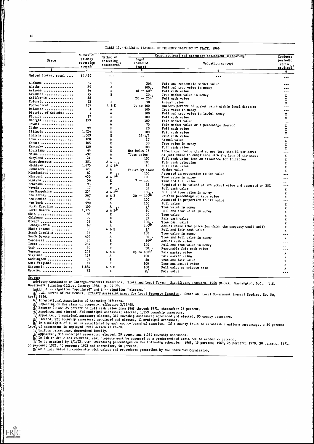|<br>|}

|                      | Number of           |                                                             |                             | Constitutional and statutory assessment standardsb                               |                  |
|----------------------|---------------------|-------------------------------------------------------------|-----------------------------|----------------------------------------------------------------------------------|------------------|
|                      | primary             | Method of                                                   | Legal                       |                                                                                  | Conducts         |
| State                | assessing           | selecting                                                   | standard                    | Valuation concept                                                                | periodic         |
|                      | areas <sup>a/</sup> | assessorsb/                                                 | $(\text{rate})$             |                                                                                  | ratio<br>studies |
|                      | 2                   | 3                                                           | 4                           | 5                                                                                |                  |
| United States, total | 14,496              | $- - -$                                                     | ---                         | ---                                                                              | 6                |
| Alabama              | 67                  | F.                                                          | 30%                         | Fair and reasonable market value                                                 |                  |
| Alaska               | 29                  | Α                                                           |                             | Full and true value in money                                                     |                  |
| Arizona              | 14                  | E                                                           | $18 - \frac{100}{60}$       | Full cash value                                                                  |                  |
| Arkansas             | 75                  | E                                                           |                             | True market value in money                                                       | x                |
| California           | 58                  | E                                                           | $^{20}_{20} - ^{20}_{25}$   | Full cash value                                                                  | x                |
| Colorado             | 63                  | E                                                           | 30                          | Actual value                                                                     | x                |
| Connecticut          | 169                 | A&E                                                         | <b>Up to 100</b>            | Uniform percent of market value within local district                            | ---              |
| Delaware             | 3                   | A                                                           | 100                         | True value in money                                                              | ---              |
| District of Columbia | 1                   | Α                                                           | 100                         | Full and true value in lawful money                                              | x                |
| Florida              | 67                  | E                                                           | 100                         | Full cash value                                                                  | x                |
| Georgia              | 159                 | A                                                           | 100                         | Fair market value                                                                | ---              |
| Hawaii               | 1                   | ٨                                                           | 70                          | Fair market value or a percentage thereof                                        | x                |
| Idaho                | 44                  | E                                                           | 20                          | Full cash value                                                                  | x                |
| Illinois             | 1,424               | E                                                           | 100                         | Fair cash value                                                                  | x                |
| Indiana              | 1,009               | E                                                           | $33 - 1/3$                  | True cash value                                                                  |                  |
| Iowa                 | 120                 | A                                                           | 27                          | Actual value                                                                     | ---              |
| Kansas               | 105                 | E                                                           | 30                          | True value in money                                                              | x                |
| Kentucky             | 120                 | E                                                           | 100                         | Fair cash value                                                                  | x                |
| Louisiana            | 64                  | E                                                           | Not below 25                | Actual cash value (land at not less than \$1 per acre)                           | x                |
| Maine                | 492                 | A                                                           | "Just value"                | At just value in compliance with the laws of the state                           | ---              |
| Maryland             | 24                  | A                                                           | 100                         | Full cash value less an allowance for inflation                                  | x                |
| Massachusetts        | 351                 |                                                             | 100                         | Fair cash valuation                                                              | x                |
| Michigan             | 1,475               | $\begin{array}{ccc}\nA & 6 & E \\ A & 6 & E^2\n\end{array}$ | 50                          | Full cash value                                                                  | x                |
| Minnesota            | 72 1                | Α                                                           | Varies by class             | Market value                                                                     | x                |
| Mississippi          | 82                  | E                                                           | 100                         | Assessed in proportion to its value                                              | x                |
| Missouri             | 435                 | A & $E^{\frac{1}{2}}$                                       | 100                         | True value in maney                                                              |                  |
| Montana              | 56                  | E                                                           | $7 - 100$                   | True and full value                                                              | ---              |
| Nebraska             | 93                  | E                                                           | 35                          |                                                                                  |                  |
| Nevada               | 17                  | E                                                           | 35                          | Required to be valued at its actual value and assessed a* 35%<br>Full cash value | ---              |
| New Hampshire        | 234                 | $E^{g/2}$<br>Aδ                                             |                             | Full and true value in money                                                     | x                |
| New Jersey           | 567                 | A & E                                                       | $20 - \frac{100}{100}$      | Uniform percentage at true value                                                 | x                |
| New Mexico           | 32                  | E                                                           | 100                         | Assessed in proportion to its value                                              | x                |
| New York             | 990                 | Α                                                           | 100                         | Full value                                                                       | ---              |
| North Carolina       | 100                 | A                                                           | ij                          | True value in money                                                              | x                |
| North Dakota         | 1,772               | $A \& E^{j}$                                                | 50                          |                                                                                  | x                |
| 0hio                 | 88                  | E                                                           | 50                          | Full and true value in money<br>True value                                       | x                |
| Oklahoma             | 77                  | E                                                           | 35                          | Fair cash value                                                                  | x                |
| $0$ regon            | 36                  | E                                                           |                             | True cash value                                                                  | x                |
| Pennsylvania         | 67                  | A                                                           | $\frac{100}{100}$           |                                                                                  | x                |
| Rhode Island         | 39                  | Α&Ε                                                         | ij                          | Actual value (the price for which the property would sell)                       | x                |
| South Carolina       | 46                  | A                                                           | 100                         | Full and fair cash value                                                         | x                |
| South Dakota         | 404                 | A                                                           |                             | True value in money                                                              | ---              |
| Tennessee            | 95                  | E                                                           | $^{60}_{50}$ <sup>1</sup> / | True and full value in money                                                     | x                |
| Texas                | 254                 | E                                                           |                             | Actual cash value                                                                | ---              |
| Utah                 | 29                  | E                                                           | 100                         | Full and true value in money                                                     | ---              |
| Vermont              | 246                 |                                                             | $\frac{30}{100}$            | Reasonable fair cash value                                                       | ---              |
|                      |                     | AδE                                                         |                             | Fair market value                                                                | x                |
| Virginia             | 131                 | Α                                                           | 100                         | Fair market value                                                                | x                |
| Washington           | 39                  | E,                                                          | 50                          | True and fair value                                                              | x                |
| West Virginia        | 55                  | E                                                           | 100                         | True and actual value                                                            | х                |
| Wisconsin            | 1,834               | A&E                                                         | 100                         | Full value at private sale                                                       | x                |
| Wyoming              | 23                  | E                                                           | $\mathbf{n}$ /              | Fair value                                                                       |                  |

TABLE 12.--SELECTED FEATURES OF PROPERTY TAXATION BY STATE, 1966

Source:

 $\sum_{\mathcal{F}_{\text{full Test} \text{ Product}}} \sum_{\mathcal{F}_{\text{Full test}}} \sum_{\mathcal{F}_{\text{Period test} \text{ by EHC}}}$ 

Advisory Commission on Intergovernmental Relations. State and Local Taxes: Significant Features, 1968 (M-37). Washington, D.C.: U.S. Sovernment Printing Office, January 1968, p. 77-79.<br>Note: A -- signifies "appointed" and E -- signifies "elected."

artic. Art Signifies of the Census. Primary Assessing Areas for Local Property Taxation. State and Local Government Special Studies, No. 50,<br>April 1966. April 1966.

D/ International Association of Assessing Officers. J Depending on the class of property, effective 3/22/68.

4/ Between 20 and 25 percent of full cash value from 1968 through 1971, thereafter 25 percent.

1/ Appointed and elected, 216 municipal assessors; elected, 1,259 township assessors.

1/ Appointed, 1 municipal assessor; elected, 344 township assessors; appointed and elected, 90 county assessors.

g/ Elected, 221 township assessors; appointed and elected, 13 municipal assessors.

 $\overline{h}$  In a multiple of 10 as is established by each county board of taxation. If a county fails to establish a uniform percentage, a 50 percent level of assessment is employed until action is taken.

1/ Uniform percentage, determined locally.

j/ Appointed, 356 municipal assessors; elected, 29 county and 1,387 township assessors. J In 4th to 8th class counties, real property must be assessed at a predetermined ratio not to exceed 75 percent.

1/ To be attained by 1/1/73, with increasing percentages on the following schedule: 1968, 15 percent; 1969, 25 percent; 1970, 30 percent; 1971, 35 percent; 1972, 40 percent; 1973 and thereafter, 50 percent.

m/ At a fair value in conformity with values and procedures prescribed by the State Tax Commission.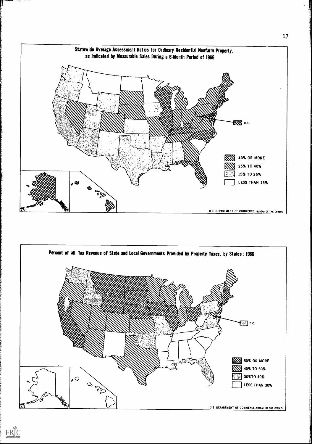